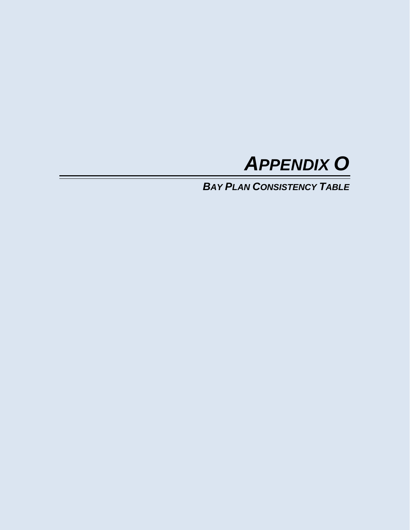

*BAY PLAN CONSISTENCY TABLE*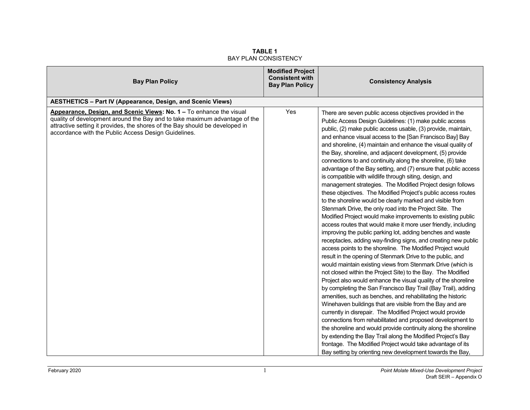| <b>Bay Plan Policy</b>                                                                                                                                                                                                                                                                    | <b>Modified Project</b><br><b>Consistent with</b><br><b>Bay Plan Policy</b> | <b>Consistency Analysis</b>                                                                                                                                                                                                                                                                                                                                                                                                                                                                                                                                                                                                                                                                                                                                                                                                                                                                                                                                                                                                                                                                                                                                                                                                                                                                                                                                                                                                                                                                                                                                                                                                                                                                                                                                                                                                                                                                                                                                                                                            |
|-------------------------------------------------------------------------------------------------------------------------------------------------------------------------------------------------------------------------------------------------------------------------------------------|-----------------------------------------------------------------------------|------------------------------------------------------------------------------------------------------------------------------------------------------------------------------------------------------------------------------------------------------------------------------------------------------------------------------------------------------------------------------------------------------------------------------------------------------------------------------------------------------------------------------------------------------------------------------------------------------------------------------------------------------------------------------------------------------------------------------------------------------------------------------------------------------------------------------------------------------------------------------------------------------------------------------------------------------------------------------------------------------------------------------------------------------------------------------------------------------------------------------------------------------------------------------------------------------------------------------------------------------------------------------------------------------------------------------------------------------------------------------------------------------------------------------------------------------------------------------------------------------------------------------------------------------------------------------------------------------------------------------------------------------------------------------------------------------------------------------------------------------------------------------------------------------------------------------------------------------------------------------------------------------------------------------------------------------------------------------------------------------------------------|
| <b>AESTHETICS - Part IV (Appearance, Design, and Scenic Views)</b>                                                                                                                                                                                                                        |                                                                             |                                                                                                                                                                                                                                                                                                                                                                                                                                                                                                                                                                                                                                                                                                                                                                                                                                                                                                                                                                                                                                                                                                                                                                                                                                                                                                                                                                                                                                                                                                                                                                                                                                                                                                                                                                                                                                                                                                                                                                                                                        |
| Appearance, Design, and Scenic Views: No. 1 – To enhance the visual<br>quality of development around the Bay and to take maximum advantage of the<br>attractive setting it provides, the shores of the Bay should be developed in<br>accordance with the Public Access Design Guidelines. | Yes                                                                         | There are seven public access objectives provided in the<br>Public Access Design Guidelines: (1) make public access<br>public, (2) make public access usable, (3) provide, maintain,<br>and enhance visual access to the [San Francisco Bay] Bay<br>and shoreline, (4) maintain and enhance the visual quality of<br>the Bay, shoreline, and adjacent development, (5) provide<br>connections to and continuity along the shoreline, (6) take<br>advantage of the Bay setting, and (7) ensure that public access<br>is compatible with wildlife through siting, design, and<br>management strategies. The Modified Project design follows<br>these objectives. The Modified Project's public access routes<br>to the shoreline would be clearly marked and visible from<br>Stenmark Drive, the only road into the Project Site. The<br>Modified Project would make improvements to existing public<br>access routes that would make it more user friendly, including<br>improving the public parking lot, adding benches and waste<br>receptacles, adding way-finding signs, and creating new public<br>access points to the shoreline. The Modified Project would<br>result in the opening of Stenmark Drive to the public, and<br>would maintain existing views from Stenmark Drive (which is<br>not closed within the Project Site) to the Bay. The Modified<br>Project also would enhance the visual quality of the shoreline<br>by completing the San Francisco Bay Trail (Bay Trail), adding<br>amenities, such as benches, and rehabilitating the historic<br>Winehaven buildings that are visible from the Bay and are<br>currently in disrepair. The Modified Project would provide<br>connections from rehabilitated and proposed development to<br>the shoreline and would provide continuity along the shoreline<br>by extending the Bay Trail along the Modified Project's Bay<br>frontage. The Modified Project would take advantage of its<br>Bay setting by orienting new development towards the Bay, |

**TABLE 1** BAY PLAN CONSISTENCY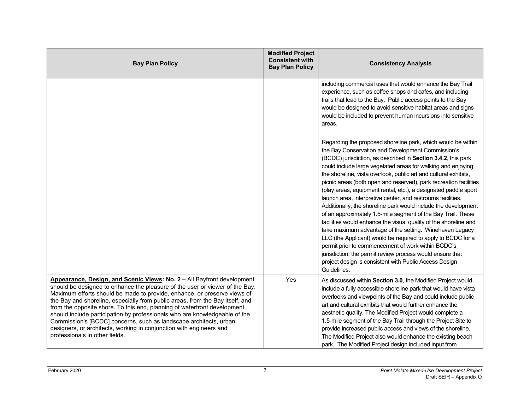| <b>Bay Plan Policy</b>                                                                                                                                                                                                                                                                                                                                                                                                                                                                                                                                                                                                                                      | <b>Modified Project</b><br><b>Consistent with</b><br><b>Bay Plan Policy</b> | <b>Consistency Analysis</b>                                                                                                                                                                                                                                                                                                                                                                                                                                                                                                                                                                                                                                                                                                                                                                                                                                                                                                                                                                                                                                |
|-------------------------------------------------------------------------------------------------------------------------------------------------------------------------------------------------------------------------------------------------------------------------------------------------------------------------------------------------------------------------------------------------------------------------------------------------------------------------------------------------------------------------------------------------------------------------------------------------------------------------------------------------------------|-----------------------------------------------------------------------------|------------------------------------------------------------------------------------------------------------------------------------------------------------------------------------------------------------------------------------------------------------------------------------------------------------------------------------------------------------------------------------------------------------------------------------------------------------------------------------------------------------------------------------------------------------------------------------------------------------------------------------------------------------------------------------------------------------------------------------------------------------------------------------------------------------------------------------------------------------------------------------------------------------------------------------------------------------------------------------------------------------------------------------------------------------|
|                                                                                                                                                                                                                                                                                                                                                                                                                                                                                                                                                                                                                                                             |                                                                             | including commercial uses that would enhance the Bay Trail<br>experience, such as coffee shops and cafes, and including<br>trails that lead to the Bay. Public access points to the Bay<br>would be designed to avoid sensitive habitat areas and signs<br>would be included to prevent human incursions into sensitive<br>areas.                                                                                                                                                                                                                                                                                                                                                                                                                                                                                                                                                                                                                                                                                                                          |
|                                                                                                                                                                                                                                                                                                                                                                                                                                                                                                                                                                                                                                                             |                                                                             | Regarding the proposed shoreline park, which would be within<br>the Bay Conservation and Development Commission's<br>(BCDC) jurisdiction, as described in Section 3.4.2, this park<br>could include large vegetated areas for walking and enjoying<br>the shoreline, vista overlook, public art and cultural exhibits,<br>picnic areas (both open and reserved), park recreation facilities<br>(play areas, equipment rental, etc.), a designated paddle sport<br>launch area, interpretive center, and restrooms facilities.<br>Additionally, the shoreline park would include the development<br>of an approximately 1.5-mile segment of the Bay Trail. These<br>facilities would enhance the visual quality of the shoreline and<br>take maximum advantage of the setting. Winehaven Legacy<br>LLC (the Applicant) would be required to apply to BCDC for a<br>permit prior to commencement of work within BCDC's<br>jurisdiction; the permit review process would ensure that<br>project design is consistent with Public Access Design<br>Guidelines. |
| Appearance, Design, and Scenic Views: No. 2 - All Bayfront development<br>should be designed to enhance the pleasure of the user or viewer of the Bay.<br>Maximum efforts should be made to provide, enhance, or preserve views of<br>the Bay and shoreline, especially from public areas, from the Bay itself, and<br>from the opposite shore. To this end, planning of waterfront development<br>should include participation by professionals who are knowledgeable of the<br>Commission's [BCDC] concerns, such as landscape architects, urban<br>designers, or architects, working in conjunction with engineers and<br>professionals in other fields. | Yes                                                                         | As discussed within Section 3.0, the Modified Project would<br>include a fully accessible shoreline park that would have vista<br>overlooks and viewpoints of the Bay and could include public<br>art and cultural exhibits that would further enhance the<br>aesthetic quality. The Modified Project would complete a<br>1.5-mile segment of the Bay Trail through the Project Site to<br>provide increased public access and views of the shoreline.<br>The Modified Project also would enhance the existing beach<br>park. The Modified Project design included input from                                                                                                                                                                                                                                                                                                                                                                                                                                                                              |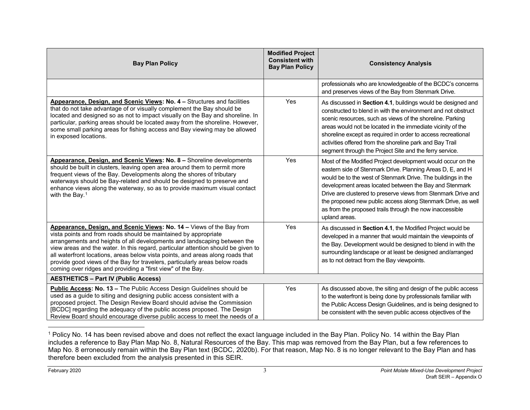<span id="page-3-0"></span>

| <b>Bay Plan Policy</b>                                                                                                                                                                                                                                                                                                                                                                                                                                                                                                                   | <b>Modified Project</b><br><b>Consistent with</b><br><b>Bay Plan Policy</b> | <b>Consistency Analysis</b>                                                                                                                                                                                                                                                                                                                                                                                                                                       |
|------------------------------------------------------------------------------------------------------------------------------------------------------------------------------------------------------------------------------------------------------------------------------------------------------------------------------------------------------------------------------------------------------------------------------------------------------------------------------------------------------------------------------------------|-----------------------------------------------------------------------------|-------------------------------------------------------------------------------------------------------------------------------------------------------------------------------------------------------------------------------------------------------------------------------------------------------------------------------------------------------------------------------------------------------------------------------------------------------------------|
|                                                                                                                                                                                                                                                                                                                                                                                                                                                                                                                                          |                                                                             | professionals who are knowledgeable of the BCDC's concerns<br>and preserves views of the Bay from Stenmark Drive.                                                                                                                                                                                                                                                                                                                                                 |
| Appearance, Design, and Scenic Views: No. 4 - Structures and facilities<br>that do not take advantage of or visually complement the Bay should be<br>located and designed so as not to impact visually on the Bay and shoreline. In<br>particular, parking areas should be located away from the shoreline. However,<br>some small parking areas for fishing access and Bay viewing may be allowed<br>in exposed locations.                                                                                                              | Yes                                                                         | As discussed in Section 4.1, buildings would be designed and<br>constructed to blend in with the environment and not obstruct<br>scenic resources, such as views of the shoreline. Parking<br>areas would not be located in the immediate vicinity of the<br>shoreline except as required in order to access recreational<br>activities offered from the shoreline park and Bay Trail<br>segment through the Project Site and the ferry service.                  |
| Appearance, Design, and Scenic Views: No. 8 - Shoreline developments<br>should be built in clusters, leaving open area around them to permit more<br>frequent views of the Bay. Developments along the shores of tributary<br>waterways should be Bay-related and should be designed to preserve and<br>enhance views along the waterway, so as to provide maximum visual contact<br>with the Bay. $1$                                                                                                                                   | Yes                                                                         | Most of the Modified Project development would occur on the<br>eastern side of Stenmark Drive. Planning Areas D, E, and H<br>would be to the west of Stenmark Drive. The buildings in the<br>development areas located between the Bay and Stenmark<br>Drive are clustered to preserve views from Stenmark Drive and<br>the proposed new public access along Stenmark Drive, as well<br>as from the proposed trails through the now inaccessible<br>upland areas. |
| Appearance, Design, and Scenic Views: No. 14 - Views of the Bay from<br>vista points and from roads should be maintained by appropriate<br>arrangements and heights of all developments and landscaping between the<br>view areas and the water. In this regard, particular attention should be given to<br>all waterfront locations, areas below vista points, and areas along roads that<br>provide good views of the Bay for travelers, particularly areas below roads<br>coming over ridges and providing a "first view" of the Bay. | Yes                                                                         | As discussed in Section 4.1, the Modified Project would be<br>developed in a manner that would maintain the viewpoints of<br>the Bay. Development would be designed to blend in with the<br>surrounding landscape or at least be designed and/arranged<br>as to not detract from the Bay viewpoints.                                                                                                                                                              |
| <b>AESTHETICS - Part IV (Public Access)</b>                                                                                                                                                                                                                                                                                                                                                                                                                                                                                              |                                                                             |                                                                                                                                                                                                                                                                                                                                                                                                                                                                   |
| Public Access: No. 13 - The Public Access Design Guidelines should be<br>used as a guide to siting and designing public access consistent with a<br>proposed project. The Design Review Board should advise the Commission<br>[BCDC] regarding the adequacy of the public access proposed. The Design<br>Review Board should encourage diverse public access to meet the needs of a                                                                                                                                                      | Yes                                                                         | As discussed above, the siting and design of the public access<br>to the waterfront is being done by professionals familiar with<br>the Public Access Design Guidelines, and is being designed to<br>be consistent with the seven public access objectives of the                                                                                                                                                                                                 |

 $\overline{a}$ <sup>1</sup> Policy No. 14 has been revised above and does not reflect the exact language included in the Bay Plan. Policy No. 14 within the Bay Plan includes a reference to Bay Plan Map No. 8, Natural Resources of the Bay. This map was removed from the Bay Plan, but a few references to Map No. 8 erroneously remain within the Bay Plan text (BCDC, 2020b). For that reason, Map No. 8 is no longer relevant to the Bay Plan and has therefore been excluded from the analysis presented in this SEIR.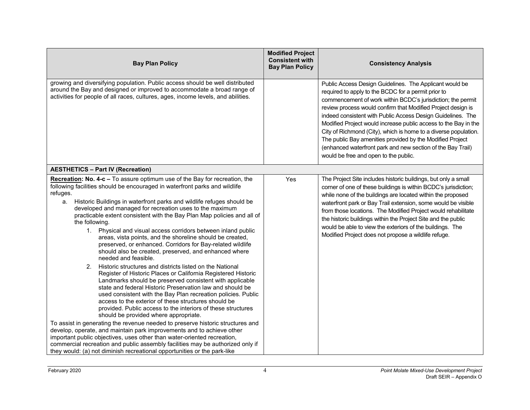| <b>Bay Plan Policy</b>                                                                                                                                                                                                                                                                                                                                                                                                                                                                                                                                                                                                                                                                                                                                                                                                                                                                                                                                                                                                                                                                                                                                                                                                                                                                                                                                                                                                                                                                                                                                                                   | <b>Modified Project</b><br><b>Consistent with</b><br><b>Bay Plan Policy</b> | <b>Consistency Analysis</b>                                                                                                                                                                                                                                                                                                                                                                                                                                                                                                                                                                                             |
|------------------------------------------------------------------------------------------------------------------------------------------------------------------------------------------------------------------------------------------------------------------------------------------------------------------------------------------------------------------------------------------------------------------------------------------------------------------------------------------------------------------------------------------------------------------------------------------------------------------------------------------------------------------------------------------------------------------------------------------------------------------------------------------------------------------------------------------------------------------------------------------------------------------------------------------------------------------------------------------------------------------------------------------------------------------------------------------------------------------------------------------------------------------------------------------------------------------------------------------------------------------------------------------------------------------------------------------------------------------------------------------------------------------------------------------------------------------------------------------------------------------------------------------------------------------------------------------|-----------------------------------------------------------------------------|-------------------------------------------------------------------------------------------------------------------------------------------------------------------------------------------------------------------------------------------------------------------------------------------------------------------------------------------------------------------------------------------------------------------------------------------------------------------------------------------------------------------------------------------------------------------------------------------------------------------------|
| growing and diversifying population. Public access should be well distributed<br>around the Bay and designed or improved to accommodate a broad range of<br>activities for people of all races, cultures, ages, income levels, and abilities.                                                                                                                                                                                                                                                                                                                                                                                                                                                                                                                                                                                                                                                                                                                                                                                                                                                                                                                                                                                                                                                                                                                                                                                                                                                                                                                                            |                                                                             | Public Access Design Guidelines. The Applicant would be<br>required to apply to the BCDC for a permit prior to<br>commencement of work within BCDC's jurisdiction; the permit<br>review process would confirm that Modified Project design is<br>indeed consistent with Public Access Design Guidelines. The<br>Modified Project would increase public access to the Bay in the<br>City of Richmond (City), which is home to a diverse population.<br>The public Bay amenities provided by the Modified Project<br>(enhanced waterfront park and new section of the Bay Trail)<br>would be free and open to the public. |
| <b>AESTHETICS - Part IV (Recreation)</b>                                                                                                                                                                                                                                                                                                                                                                                                                                                                                                                                                                                                                                                                                                                                                                                                                                                                                                                                                                                                                                                                                                                                                                                                                                                                                                                                                                                                                                                                                                                                                 |                                                                             |                                                                                                                                                                                                                                                                                                                                                                                                                                                                                                                                                                                                                         |
| Recreation: No. 4-c - To assure optimum use of the Bay for recreation, the<br>following facilities should be encouraged in waterfront parks and wildlife<br>refuges.<br>Historic Buildings in waterfront parks and wildlife refuges should be<br>a.<br>developed and managed for recreation uses to the maximum<br>practicable extent consistent with the Bay Plan Map policies and all of<br>the following.<br>1. Physical and visual access corridors between inland public<br>areas, vista points, and the shoreline should be created,<br>preserved, or enhanced. Corridors for Bay-related wildlife<br>should also be created, preserved, and enhanced where<br>needed and feasible.<br>2. Historic structures and districts listed on the National<br>Register of Historic Places or California Registered Historic<br>Landmarks should be preserved consistent with applicable<br>state and federal Historic Preservation law and should be<br>used consistent with the Bay Plan recreation policies. Public<br>access to the exterior of these structures should be<br>provided. Public access to the interiors of these structures<br>should be provided where appropriate.<br>To assist in generating the revenue needed to preserve historic structures and<br>develop, operate, and maintain park improvements and to achieve other<br>important public objectives, uses other than water-oriented recreation,<br>commercial recreation and public assembly facilities may be authorized only if<br>they would: (a) not diminish recreational opportunities or the park-like | Yes                                                                         | The Project Site includes historic buildings, but only a small<br>corner of one of these buildings is within BCDC's jurisdiction;<br>while none of the buildings are located within the proposed<br>waterfront park or Bay Trail extension, some would be visible<br>from those locations. The Modified Project would rehabilitate<br>the historic buildings within the Project Site and the public<br>would be able to view the exteriors of the buildings. The<br>Modified Project does not propose a wildlife refuge.                                                                                                |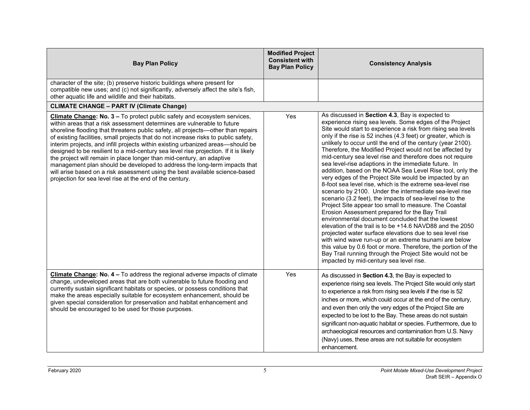| <b>Bay Plan Policy</b>                                                                                                                                                                                                                                                                                                                                                                                                                                                                                                                                                                                                                                                                                                                                                                                       | <b>Modified Project</b><br><b>Consistent with</b><br><b>Bay Plan Policy</b> | <b>Consistency Analysis</b>                                                                                                                                                                                                                                                                                                                                                                                                                                                                                                                                                                                                                                                                                                                                                                                                                                                                                                                                                                                                                                                                                                                                                                                                                                                                                                     |
|--------------------------------------------------------------------------------------------------------------------------------------------------------------------------------------------------------------------------------------------------------------------------------------------------------------------------------------------------------------------------------------------------------------------------------------------------------------------------------------------------------------------------------------------------------------------------------------------------------------------------------------------------------------------------------------------------------------------------------------------------------------------------------------------------------------|-----------------------------------------------------------------------------|---------------------------------------------------------------------------------------------------------------------------------------------------------------------------------------------------------------------------------------------------------------------------------------------------------------------------------------------------------------------------------------------------------------------------------------------------------------------------------------------------------------------------------------------------------------------------------------------------------------------------------------------------------------------------------------------------------------------------------------------------------------------------------------------------------------------------------------------------------------------------------------------------------------------------------------------------------------------------------------------------------------------------------------------------------------------------------------------------------------------------------------------------------------------------------------------------------------------------------------------------------------------------------------------------------------------------------|
| character of the site; (b) preserve historic buildings where present for<br>compatible new uses; and (c) not significantly, adversely affect the site's fish,<br>other aquatic life and wildlife and their habitats.                                                                                                                                                                                                                                                                                                                                                                                                                                                                                                                                                                                         |                                                                             |                                                                                                                                                                                                                                                                                                                                                                                                                                                                                                                                                                                                                                                                                                                                                                                                                                                                                                                                                                                                                                                                                                                                                                                                                                                                                                                                 |
| <b>CLIMATE CHANGE - PART IV (Climate Change)</b>                                                                                                                                                                                                                                                                                                                                                                                                                                                                                                                                                                                                                                                                                                                                                             |                                                                             |                                                                                                                                                                                                                                                                                                                                                                                                                                                                                                                                                                                                                                                                                                                                                                                                                                                                                                                                                                                                                                                                                                                                                                                                                                                                                                                                 |
| Climate Change: No. 3 - To protect public safety and ecosystem services,<br>within areas that a risk assessment determines are vulnerable to future<br>shoreline flooding that threatens public safety, all projects--other than repairs<br>of existing facilities, small projects that do not increase risks to public safety,<br>interim projects, and infill projects within existing urbanized areas-should be<br>designed to be resilient to a mid-century sea level rise projection. If it is likely<br>the project will remain in place longer than mid-century, an adaptive<br>management plan should be developed to address the long-term impacts that<br>will arise based on a risk assessment using the best available science-based<br>projection for sea level rise at the end of the century. | Yes                                                                         | As discussed in Section 4.3, Bay is expected to<br>experience rising sea levels. Some edges of the Project<br>Site would start to experience a risk from rising sea levels<br>only if the rise is 52 inches (4.3 feet) or greater, which is<br>unlikely to occur until the end of the century (year 2100).<br>Therefore, the Modified Project would not be affected by<br>mid-century sea level rise and therefore does not require<br>sea level-rise adaptions in the immediate future. In<br>addition, based on the NOAA Sea Level Rise tool, only the<br>very edges of the Project Site would be impacted by an<br>8-foot sea level rise, which is the extreme sea-level rise<br>scenario by 2100. Under the intermediate sea-level rise<br>scenario (3.2 feet), the impacts of sea-level rise to the<br>Project Site appear too small to measure. The Coastal<br>Erosion Assessment prepared for the Bay Trail<br>environmental document concluded that the lowest<br>elevation of the trail is to be +14.6 NAVD88 and the 2050<br>projected water surface elevations due to sea level rise<br>with wind wave run-up or an extreme tsunami are below<br>this value by 0.6 foot or more. Therefore, the portion of the<br>Bay Trail running through the Project Site would not be<br>impacted by mid-century sea level rise. |
| Climate Change: No. 4 - To address the regional adverse impacts of climate<br>change, undeveloped areas that are both vulnerable to future flooding and<br>currently sustain significant habitats or species, or possess conditions that<br>make the areas especially suitable for ecosystem enhancement, should be<br>given special consideration for preservation and habitat enhancement and<br>should be encouraged to be used for those purposes.                                                                                                                                                                                                                                                                                                                                                       | Yes                                                                         | As discussed in Section 4.3, the Bay is expected to<br>experience rising sea levels. The Project Site would only start<br>to experience a risk from rising sea levels if the rise is 52<br>inches or more, which could occur at the end of the century,<br>and even then only the very edges of the Project Site are<br>expected to be lost to the Bay. These areas do not sustain<br>significant non-aquatic habitat or species. Furthermore, due to<br>archaeological resources and contamination from U.S. Navy<br>(Navy) uses, these areas are not suitable for ecosystem<br>enhancement.                                                                                                                                                                                                                                                                                                                                                                                                                                                                                                                                                                                                                                                                                                                                   |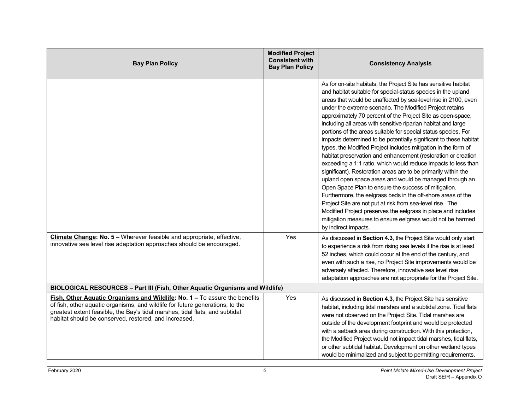| <b>Bay Plan Policy</b>                                                                                                                                                                                                                                                                               | <b>Modified Project</b><br><b>Consistent with</b><br><b>Bay Plan Policy</b> | <b>Consistency Analysis</b>                                                                                                                                                                                                                                                                                                                                                                                                                                                                                                                                                                                                                                                                                                                                                                                                                                                                                                                                                                                                                                                                                                                                                                                         |
|------------------------------------------------------------------------------------------------------------------------------------------------------------------------------------------------------------------------------------------------------------------------------------------------------|-----------------------------------------------------------------------------|---------------------------------------------------------------------------------------------------------------------------------------------------------------------------------------------------------------------------------------------------------------------------------------------------------------------------------------------------------------------------------------------------------------------------------------------------------------------------------------------------------------------------------------------------------------------------------------------------------------------------------------------------------------------------------------------------------------------------------------------------------------------------------------------------------------------------------------------------------------------------------------------------------------------------------------------------------------------------------------------------------------------------------------------------------------------------------------------------------------------------------------------------------------------------------------------------------------------|
|                                                                                                                                                                                                                                                                                                      |                                                                             | As for on-site habitats, the Project Site has sensitive habitat<br>and habitat suitable for special-status species in the upland<br>areas that would be unaffected by sea-level rise in 2100, even<br>under the extreme scenario. The Modified Project retains<br>approximately 70 percent of the Project Site as open-space,<br>including all areas with sensitive riparian habitat and large<br>portions of the areas suitable for special status species. For<br>impacts determined to be potentially significant to these habitat<br>types, the Modified Project includes mitigation in the form of<br>habitat preservation and enhancement (restoration or creation<br>exceeding a 1:1 ratio, which would reduce impacts to less than<br>significant). Restoration areas are to be primarily within the<br>upland open space areas and would be managed through an<br>Open Space Plan to ensure the success of mitigation.<br>Furthermore, the eelgrass beds in the off-shore areas of the<br>Project Site are not put at risk from sea-level rise. The<br>Modified Project preserves the eelgrass in place and includes<br>mitigation measures to ensure eelgrass would not be harmed<br>by indirect impacts. |
| Climate Change: No. 5 - Wherever feasible and appropriate, effective,<br>innovative sea level rise adaptation approaches should be encouraged.                                                                                                                                                       | Yes                                                                         | As discussed in Section 4.3, the Project Site would only start<br>to experience a risk from rising sea levels if the rise is at least<br>52 inches, which could occur at the end of the century, and<br>even with such a rise, no Project Site improvements would be<br>adversely affected. Therefore, innovative sea level rise<br>adaptation approaches are not appropriate for the Project Site.                                                                                                                                                                                                                                                                                                                                                                                                                                                                                                                                                                                                                                                                                                                                                                                                                 |
| BIOLOGICAL RESOURCES - Part III (Fish, Other Aquatic Organisms and Wildlife)                                                                                                                                                                                                                         |                                                                             |                                                                                                                                                                                                                                                                                                                                                                                                                                                                                                                                                                                                                                                                                                                                                                                                                                                                                                                                                                                                                                                                                                                                                                                                                     |
| Fish, Other Aquatic Organisms and Wildlife: No. 1 - To assure the benefits<br>of fish, other aquatic organisms, and wildlife for future generations, to the<br>greatest extent feasible, the Bay's tidal marshes, tidal flats, and subtidal<br>habitat should be conserved, restored, and increased. | Yes                                                                         | As discussed in Section 4.3, the Project Site has sensitive<br>habitat, including tidal marshes and a subtidal zone. Tidal flats<br>were not observed on the Project Site. Tidal marshes are<br>outside of the development footprint and would be protected<br>with a setback area during construction. With this protection,<br>the Modified Project would not impact tidal marshes, tidal flats,<br>or other subtidal habitat. Development on other wetland types<br>would be minimalized and subject to permitting requirements.                                                                                                                                                                                                                                                                                                                                                                                                                                                                                                                                                                                                                                                                                 |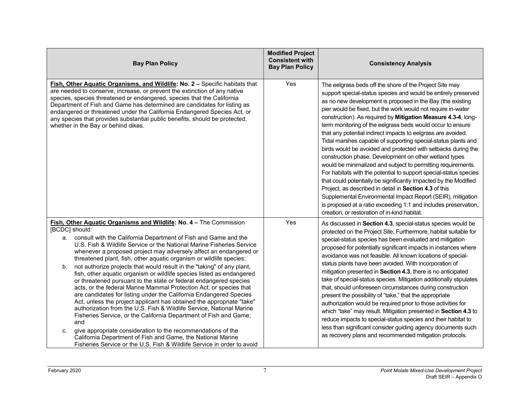| <b>Bay Plan Policy</b>                                                                                                                                                                                                                                                                                                                                                                                                                                                                                                                                                                                                                                                                                                                                                                                                                                                                                                                                                                                                                                                                                                                                                                                    | <b>Modified Project</b><br><b>Consistent with</b><br><b>Bay Plan Policy</b> | <b>Consistency Analysis</b>                                                                                                                                                                                                                                                                                                                                                                                                                                                                                                                                                                                                                                                                                                                                                                                                                                                                                                                                                                                                                                                                             |
|-----------------------------------------------------------------------------------------------------------------------------------------------------------------------------------------------------------------------------------------------------------------------------------------------------------------------------------------------------------------------------------------------------------------------------------------------------------------------------------------------------------------------------------------------------------------------------------------------------------------------------------------------------------------------------------------------------------------------------------------------------------------------------------------------------------------------------------------------------------------------------------------------------------------------------------------------------------------------------------------------------------------------------------------------------------------------------------------------------------------------------------------------------------------------------------------------------------|-----------------------------------------------------------------------------|---------------------------------------------------------------------------------------------------------------------------------------------------------------------------------------------------------------------------------------------------------------------------------------------------------------------------------------------------------------------------------------------------------------------------------------------------------------------------------------------------------------------------------------------------------------------------------------------------------------------------------------------------------------------------------------------------------------------------------------------------------------------------------------------------------------------------------------------------------------------------------------------------------------------------------------------------------------------------------------------------------------------------------------------------------------------------------------------------------|
| Fish, Other Aquatic Organisms, and Wildlife: No. 2 - Specific habitats that<br>are needed to conserve, increase, or prevent the extinction of any native<br>species, species threatened or endangered, species that the California<br>Department of Fish and Game has determined are candidates for listing as<br>endangered or threatened under the California Endangered Species Act, or<br>any species that provides substantial public benefits, should be protected,<br>whether in the Bay or behind dikes.                                                                                                                                                                                                                                                                                                                                                                                                                                                                                                                                                                                                                                                                                          | Yes                                                                         | The eelgrass beds off the shore of the Project Site may<br>support special-status species and would be entirely preserved<br>as no new development is proposed in the Bay (the existing<br>pier would be fixed, but the work would not require in-water<br>construction). As required by Mitigation Measure 4.3-4, long-<br>term monitoring of the eelgrass beds would occur to ensure<br>that any potential indirect impacts to eelgrass are avoided.<br>Tidal marshes capable of supporting special-status plants and<br>birds would be avoided and protected with setbacks during the<br>construction phase. Development on other wetland types<br>would be minimalized and subject to permitting requirements.<br>For habitats with the potential to support special-status species<br>that could potentially be significantly impacted by the Modified<br>Project, as described in detail in Section 4.3 of this<br>Supplemental Environmental Impact Report (SEIR), mitigation<br>is proposed at a ratio exceeding 1:1 and includes preservation,<br>creation, or restoration of in-kind habitat. |
| Fish, Other Aquatic Organisms and Wildlife: No. 4 - The Commission<br>[BCDC] should:<br>consult with the California Department of Fish and Game and the<br>а.<br>U.S. Fish & Wildlife Service or the National Marine Fisheries Service<br>whenever a proposed project may adversely affect an endangered or<br>threatened plant, fish, other aquatic organism or wildlife species;<br>not authorize projects that would result in the "taking" of any plant,<br>b.<br>fish, other aquatic organism or wildlife species listed as endangered<br>or threatened pursuant to the state or federal endangered species<br>acts, or the federal Marine Mammal Protection Act, or species that<br>are candidates for listing under the California Endangered Species<br>Act, unless the project applicant has obtained the appropriate "take"<br>authorization from the U.S. Fish & Wildlife Service, National Marine<br>Fisheries Service, or the California Department of Fish and Game;<br>and<br>give appropriate consideration to the recommendations of the<br>C.<br>California Department of Fish and Game, the National Marine<br>Fisheries Service or the U.S. Fish & Wildlife Service in order to avoid | Yes                                                                         | As discussed in Section 4.3, special-status species would be<br>protected on the Project Site. Furthermore, habitat suitable for<br>special-status species has been evaluated and mitigation<br>proposed for potentially significant impacts in instances where<br>avoidance was not feasible. All known locations of special-<br>status plants have been avoided. With incorporation of<br>mitigation presented in Section 4.3, there is no anticipated<br>take of special-status species. Mitigation additionally stipulates<br>that, should unforeseen circumstances during construction<br>present the possibility of "take," that the appropriate<br>authorization would be required prior to those activities for<br>which "take" may result. Mitigation presented in Section 4.3 to<br>reduce impacts to special-status species and their habitat to<br>less than significant consider guiding agency documents such<br>as recovery plans and recommended mitigation protocols.                                                                                                                  |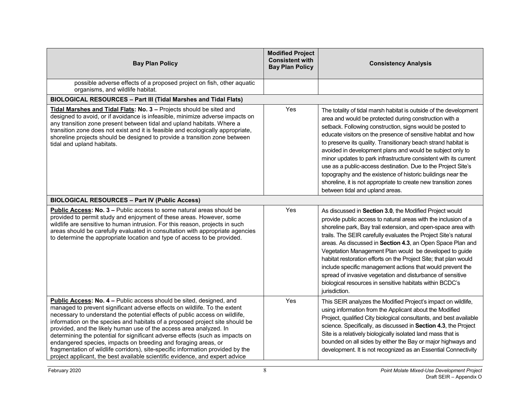|                                                                                                                                                                                                                                                                                                                                                                                                                                                                                                                                                                                                                                                                                                             | <b>Modified Project</b>                          |                                                                                                                                                                                                                                                                                                                                                                                                                                                                                                                                                                                                                                                                                                    |
|-------------------------------------------------------------------------------------------------------------------------------------------------------------------------------------------------------------------------------------------------------------------------------------------------------------------------------------------------------------------------------------------------------------------------------------------------------------------------------------------------------------------------------------------------------------------------------------------------------------------------------------------------------------------------------------------------------------|--------------------------------------------------|----------------------------------------------------------------------------------------------------------------------------------------------------------------------------------------------------------------------------------------------------------------------------------------------------------------------------------------------------------------------------------------------------------------------------------------------------------------------------------------------------------------------------------------------------------------------------------------------------------------------------------------------------------------------------------------------------|
| <b>Bay Plan Policy</b>                                                                                                                                                                                                                                                                                                                                                                                                                                                                                                                                                                                                                                                                                      | <b>Consistent with</b><br><b>Bay Plan Policy</b> | <b>Consistency Analysis</b>                                                                                                                                                                                                                                                                                                                                                                                                                                                                                                                                                                                                                                                                        |
| possible adverse effects of a proposed project on fish, other aquatic<br>organisms, and wildlife habitat.                                                                                                                                                                                                                                                                                                                                                                                                                                                                                                                                                                                                   |                                                  |                                                                                                                                                                                                                                                                                                                                                                                                                                                                                                                                                                                                                                                                                                    |
| BIOLOGICAL RESOURCES - Part III (Tidal Marshes and Tidal Flats)                                                                                                                                                                                                                                                                                                                                                                                                                                                                                                                                                                                                                                             |                                                  |                                                                                                                                                                                                                                                                                                                                                                                                                                                                                                                                                                                                                                                                                                    |
| Tidal Marshes and Tidal Flats: No. 3 - Projects should be sited and<br>designed to avoid, or if avoidance is infeasible, minimize adverse impacts on<br>any transition zone present between tidal and upland habitats. Where a<br>transition zone does not exist and it is feasible and ecologically appropriate,<br>shoreline projects should be designed to provide a transition zone between<br>tidal and upland habitats.                                                                                                                                                                                                                                                                               | Yes                                              | The totality of tidal marsh habitat is outside of the development<br>area and would be protected during construction with a<br>setback. Following construction, signs would be posted to<br>educate visitors on the presence of sensitive habitat and how<br>to preserve its quality. Transitionary beach strand habitat is<br>avoided in development plans and would be subject only to<br>minor updates to park infrastructure consistent with its current<br>use as a public-access destination. Due to the Project Site's<br>topography and the existence of historic buildings near the<br>shoreline, it is not appropriate to create new transition zones<br>between tidal and upland areas. |
| <b>BIOLOGICAL RESOURCES - Part IV (Public Access)</b>                                                                                                                                                                                                                                                                                                                                                                                                                                                                                                                                                                                                                                                       |                                                  |                                                                                                                                                                                                                                                                                                                                                                                                                                                                                                                                                                                                                                                                                                    |
| Public Access: No. 3 - Public access to some natural areas should be<br>provided to permit study and enjoyment of these areas. However, some<br>wildlife are sensitive to human intrusion. For this reason, projects in such<br>areas should be carefully evaluated in consultation with appropriate agencies<br>to determine the appropriate location and type of access to be provided.                                                                                                                                                                                                                                                                                                                   | Yes                                              | As discussed in Section 3.0, the Modified Project would<br>provide public access to natural areas with the inclusion of a<br>shoreline park, Bay trail extension, and open-space area with<br>trails. The SEIR carefully evaluates the Project Site's natural<br>areas. As discussed in Section 4.3, an Open Space Plan and<br>Vegetation Management Plan would be developed to guide<br>habitat restoration efforts on the Project Site; that plan would<br>include specific management actions that would prevent the<br>spread of invasive vegetation and disturbance of sensitive<br>biological resources in sensitive habitats within BCDC's<br>jurisdiction.                                 |
| Public Access: No. 4 - Public access should be sited, designed, and<br>managed to prevent significant adverse effects on wildlife. To the extent<br>necessary to understand the potential effects of public access on wildlife,<br>information on the species and habitats of a proposed project site should be<br>provided, and the likely human use of the access area analyzed. In<br>determining the potential for significant adverse effects (such as impacts on<br>endangered species, impacts on breeding and foraging areas, or<br>fragmentation of wildlife corridors), site-specific information provided by the<br>project applicant, the best available scientific evidence, and expert advice | Yes                                              | This SEIR analyzes the Modified Project's impact on wildlife,<br>using information from the Applicant about the Modified<br>Project, qualified City biological consultants, and best available<br>science. Specifically, as discussed in Section 4.3, the Project<br>Site is a relatively biologically isolated land mass that is<br>bounded on all sides by either the Bay or major highways and<br>development. It is not recognized as an Essential Connectivity                                                                                                                                                                                                                                |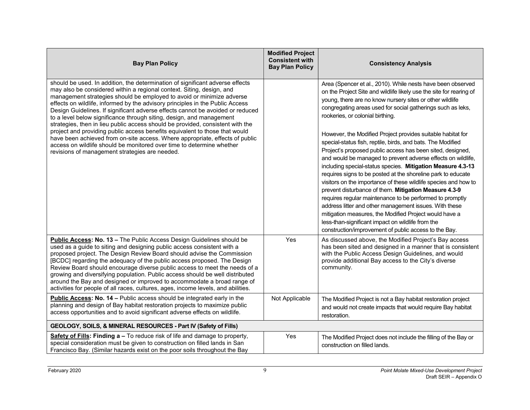| <b>Bay Plan Policy</b>                                                                                                                                                                                                                                                                                                                                                                                                                                                                                                                                                                                                                                                                                                                                                                                                                                 | <b>Modified Project</b><br><b>Consistent with</b><br><b>Bay Plan Policy</b> | <b>Consistency Analysis</b>                                                                                                                                                                                                                                                                                                                                                                                                                                                                                                                                                                                                                                                                                                                                                                                                                                                                                                                                                                                                                                                                                            |
|--------------------------------------------------------------------------------------------------------------------------------------------------------------------------------------------------------------------------------------------------------------------------------------------------------------------------------------------------------------------------------------------------------------------------------------------------------------------------------------------------------------------------------------------------------------------------------------------------------------------------------------------------------------------------------------------------------------------------------------------------------------------------------------------------------------------------------------------------------|-----------------------------------------------------------------------------|------------------------------------------------------------------------------------------------------------------------------------------------------------------------------------------------------------------------------------------------------------------------------------------------------------------------------------------------------------------------------------------------------------------------------------------------------------------------------------------------------------------------------------------------------------------------------------------------------------------------------------------------------------------------------------------------------------------------------------------------------------------------------------------------------------------------------------------------------------------------------------------------------------------------------------------------------------------------------------------------------------------------------------------------------------------------------------------------------------------------|
| should be used. In addition, the determination of significant adverse effects<br>may also be considered within a regional context. Siting, design, and<br>management strategies should be employed to avoid or minimize adverse<br>effects on wildlife, informed by the advisory principles in the Public Access<br>Design Guidelines. If significant adverse effects cannot be avoided or reduced<br>to a level below significance through siting, design, and management<br>strategies, then in lieu public access should be provided, consistent with the<br>project and providing public access benefits equivalent to those that would<br>have been achieved from on-site access. Where appropriate, effects of public<br>access on wildlife should be monitored over time to determine whether<br>revisions of management strategies are needed. |                                                                             | Area (Spencer et al., 2010). While nests have been observed<br>on the Project Site and wildlife likely use the site for rearing of<br>young, there are no know nursery sites or other wildlife<br>congregating areas used for social gatherings such as leks,<br>rookeries, or colonial birthing.<br>However, the Modified Project provides suitable habitat for<br>special-status fish, reptile, birds, and bats. The Modified<br>Project's proposed public access has been sited, designed,<br>and would be managed to prevent adverse effects on wildlife,<br>including special-status species. Mitigation Measure 4.3-13<br>requires signs to be posted at the shoreline park to educate<br>visitors on the importance of these wildlife species and how to<br>prevent disturbance of them. Mitigation Measure 4.3-9<br>requires regular maintenance to be performed to promptly<br>address litter and other management issues. With these<br>mitigation measures, the Modified Project would have a<br>less-than-significant impact on wildlife from the<br>construction/improvement of public access to the Bay. |
| Public Access: No. 13 - The Public Access Design Guidelines should be<br>used as a guide to siting and designing public access consistent with a<br>proposed project. The Design Review Board should advise the Commission<br>[BCDC] regarding the adequacy of the public access proposed. The Design<br>Review Board should encourage diverse public access to meet the needs of a<br>growing and diversifying population. Public access should be well distributed<br>around the Bay and designed or improved to accommodate a broad range of<br>activities for people of all races, cultures, ages, income levels, and abilities.                                                                                                                                                                                                                   | Yes                                                                         | As discussed above, the Modified Project's Bay access<br>has been sited and designed in a manner that is consistent<br>with the Public Access Design Guidelines, and would<br>provide additional Bay access to the City's diverse<br>community.                                                                                                                                                                                                                                                                                                                                                                                                                                                                                                                                                                                                                                                                                                                                                                                                                                                                        |
| Public Access: No. 14 - Public access should be integrated early in the<br>planning and design of Bay habitat restoration projects to maximize public<br>access opportunities and to avoid significant adverse effects on wildlife.                                                                                                                                                                                                                                                                                                                                                                                                                                                                                                                                                                                                                    | Not Applicable                                                              | The Modified Project is not a Bay habitat restoration project<br>and would not create impacts that would require Bay habitat<br>restoration.                                                                                                                                                                                                                                                                                                                                                                                                                                                                                                                                                                                                                                                                                                                                                                                                                                                                                                                                                                           |
| GEOLOGY, SOILS, & MINERAL RESOURCES - Part IV (Safety of Fills)                                                                                                                                                                                                                                                                                                                                                                                                                                                                                                                                                                                                                                                                                                                                                                                        |                                                                             |                                                                                                                                                                                                                                                                                                                                                                                                                                                                                                                                                                                                                                                                                                                                                                                                                                                                                                                                                                                                                                                                                                                        |
| Safety of Fills: Finding a - To reduce risk of life and damage to property,<br>special consideration must be given to construction on filled lands in San<br>Francisco Bay. (Similar hazards exist on the poor soils throughout the Bay                                                                                                                                                                                                                                                                                                                                                                                                                                                                                                                                                                                                                | Yes                                                                         | The Modified Project does not include the filling of the Bay or<br>construction on filled lands.                                                                                                                                                                                                                                                                                                                                                                                                                                                                                                                                                                                                                                                                                                                                                                                                                                                                                                                                                                                                                       |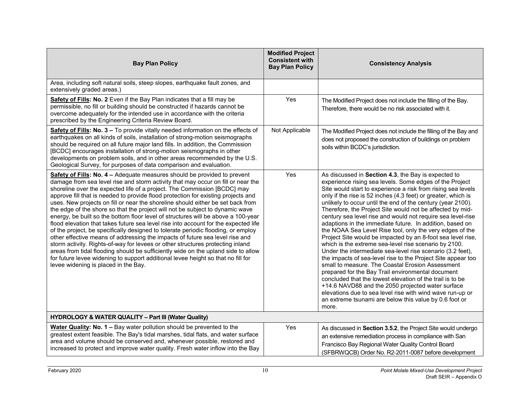| <b>Bay Plan Policy</b>                                                                                                                                                                                                                                                                                                                                                                                                                                                                                                                                                                                                                                                                                                                                                                                                                                                                                                                                                                                                                                                                                                                                | <b>Modified Project</b><br><b>Consistent with</b><br><b>Bay Plan Policy</b> | <b>Consistency Analysis</b>                                                                                                                                                                                                                                                                                                                                                                                                                                                                                                                                                                                                                                                                                                                                                                                                                                                                                                                                                                                                                                                                                                                                                         |
|-------------------------------------------------------------------------------------------------------------------------------------------------------------------------------------------------------------------------------------------------------------------------------------------------------------------------------------------------------------------------------------------------------------------------------------------------------------------------------------------------------------------------------------------------------------------------------------------------------------------------------------------------------------------------------------------------------------------------------------------------------------------------------------------------------------------------------------------------------------------------------------------------------------------------------------------------------------------------------------------------------------------------------------------------------------------------------------------------------------------------------------------------------|-----------------------------------------------------------------------------|-------------------------------------------------------------------------------------------------------------------------------------------------------------------------------------------------------------------------------------------------------------------------------------------------------------------------------------------------------------------------------------------------------------------------------------------------------------------------------------------------------------------------------------------------------------------------------------------------------------------------------------------------------------------------------------------------------------------------------------------------------------------------------------------------------------------------------------------------------------------------------------------------------------------------------------------------------------------------------------------------------------------------------------------------------------------------------------------------------------------------------------------------------------------------------------|
| Area, including soft natural soils, steep slopes, earthquake fault zones, and<br>extensively graded areas.)                                                                                                                                                                                                                                                                                                                                                                                                                                                                                                                                                                                                                                                                                                                                                                                                                                                                                                                                                                                                                                           |                                                                             |                                                                                                                                                                                                                                                                                                                                                                                                                                                                                                                                                                                                                                                                                                                                                                                                                                                                                                                                                                                                                                                                                                                                                                                     |
| Safety of Fills: No. 2 Even if the Bay Plan indicates that a fill may be<br>permissible, no fill or building should be constructed if hazards cannot be<br>overcome adequately for the intended use in accordance with the criteria<br>prescribed by the Engineering Criteria Review Board.                                                                                                                                                                                                                                                                                                                                                                                                                                                                                                                                                                                                                                                                                                                                                                                                                                                           | Yes                                                                         | The Modified Project does not include the filling of the Bay.<br>Therefore, there would be no risk associated with it.                                                                                                                                                                                                                                                                                                                                                                                                                                                                                                                                                                                                                                                                                                                                                                                                                                                                                                                                                                                                                                                              |
| Safety of Fills: No. 3 - To provide vitally needed information on the effects of<br>earthquakes on all kinds of soils, installation of strong-motion seismographs<br>should be required on all future major land fills. In addition, the Commission<br>[BCDC] encourages installation of strong-motion seismographs in other<br>developments on problem soils, and in other areas recommended by the U.S.<br>Geological Survey, for purposes of data comparison and evaluation.                                                                                                                                                                                                                                                                                                                                                                                                                                                                                                                                                                                                                                                                       | Not Applicable                                                              | The Modified Project does not include the filling of the Bay and<br>does not proposed the construction of buildings on problem<br>soils within BCDC's jurisdiction.                                                                                                                                                                                                                                                                                                                                                                                                                                                                                                                                                                                                                                                                                                                                                                                                                                                                                                                                                                                                                 |
| Safety of Fills: No. 4 - Adequate measures should be provided to prevent<br>damage from sea level rise and storm activity that may occur on fill or near the<br>shoreline over the expected life of a project. The Commission [BCDC] may<br>approve fill that is needed to provide flood protection for existing projects and<br>uses. New projects on fill or near the shoreline should either be set back from<br>the edge of the shore so that the project will not be subject to dynamic wave<br>energy, be built so the bottom floor level of structures will be above a 100-year<br>flood elevation that takes future sea level rise into account for the expected life<br>of the project, be specifically designed to tolerate periodic flooding, or employ<br>other effective means of addressing the impacts of future sea level rise and<br>storm activity. Rights-of-way for levees or other structures protecting inland<br>areas from tidal flooding should be sufficiently wide on the upland side to allow<br>for future levee widening to support additional levee height so that no fill for<br>levee widening is placed in the Bay. | Yes                                                                         | As discussed in Section 4.3, the Bay is expected to<br>experience rising sea levels. Some edges of the Project<br>Site would start to experience a risk from rising sea levels<br>only if the rise is 52 inches (4.3 feet) or greater, which is<br>unlikely to occur until the end of the century (year 2100).<br>Therefore, the Project Site would not be affected by mid-<br>century sea level rise and would not require sea level-rise<br>adaptions in the immediate future. In addition, based on<br>the NOAA Sea Level Rise tool, only the very edges of the<br>Project Site would be impacted by an 8-foot sea level rise,<br>which is the extreme sea-level rise scenario by 2100.<br>Under the intermediate sea-level rise scenario (3.2 feet),<br>the impacts of sea-level rise to the Project Site appear too<br>small to measure. The Coastal Erosion Assessment<br>prepared for the Bay Trail environmental document<br>concluded that the lowest elevation of the trail is to be<br>+14.6 NAVD88 and the 2050 projected water surface<br>elevations due to sea level rise with wind wave run-up or<br>an extreme tsunami are below this value by 0.6 foot or<br>more. |
| <b>HYDROLOGY &amp; WATER QUALITY - Part III (Water Quality)</b>                                                                                                                                                                                                                                                                                                                                                                                                                                                                                                                                                                                                                                                                                                                                                                                                                                                                                                                                                                                                                                                                                       |                                                                             |                                                                                                                                                                                                                                                                                                                                                                                                                                                                                                                                                                                                                                                                                                                                                                                                                                                                                                                                                                                                                                                                                                                                                                                     |
| Water Quality: No. 1 - Bay water pollution should be prevented to the<br>greatest extent feasible. The Bay's tidal marshes, tidal flats, and water surface<br>area and volume should be conserved and, whenever possible, restored and<br>increased to protect and improve water quality. Fresh water inflow into the Bay                                                                                                                                                                                                                                                                                                                                                                                                                                                                                                                                                                                                                                                                                                                                                                                                                             | Yes                                                                         | As discussed in Section 3.5.2, the Project Site would undergo<br>an extensive remediation process in compliance with San<br>Francisco Bay Regional Water Quality Control Board<br>(SFBRWQCB) Order No. R2-2011-0087 before development                                                                                                                                                                                                                                                                                                                                                                                                                                                                                                                                                                                                                                                                                                                                                                                                                                                                                                                                              |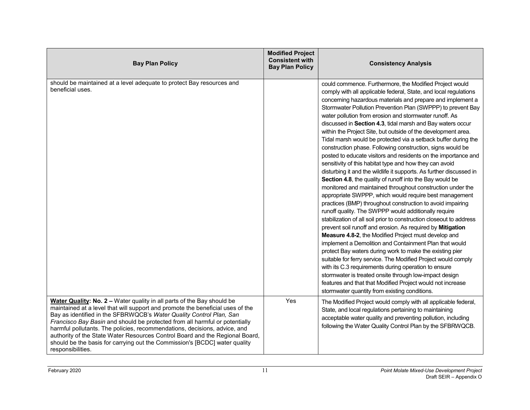| <b>Bay Plan Policy</b>                                                                                                                                                                                                                                                                                                                                                                                                                                                                                                                                                         | <b>Modified Project</b><br><b>Consistent with</b><br><b>Bay Plan Policy</b> | <b>Consistency Analysis</b>                                                                                                                                                                                                                                                                                                                                                                                                                                                                                                                                                                                                                                                                                                                                                                                                                                                                                                                                                                                                                                                                                                                                                                                                                                                                                                                                                                                                                                                                                                                                                                                                                                                                                          |
|--------------------------------------------------------------------------------------------------------------------------------------------------------------------------------------------------------------------------------------------------------------------------------------------------------------------------------------------------------------------------------------------------------------------------------------------------------------------------------------------------------------------------------------------------------------------------------|-----------------------------------------------------------------------------|----------------------------------------------------------------------------------------------------------------------------------------------------------------------------------------------------------------------------------------------------------------------------------------------------------------------------------------------------------------------------------------------------------------------------------------------------------------------------------------------------------------------------------------------------------------------------------------------------------------------------------------------------------------------------------------------------------------------------------------------------------------------------------------------------------------------------------------------------------------------------------------------------------------------------------------------------------------------------------------------------------------------------------------------------------------------------------------------------------------------------------------------------------------------------------------------------------------------------------------------------------------------------------------------------------------------------------------------------------------------------------------------------------------------------------------------------------------------------------------------------------------------------------------------------------------------------------------------------------------------------------------------------------------------------------------------------------------------|
| should be maintained at a level adequate to protect Bay resources and<br>beneficial uses.                                                                                                                                                                                                                                                                                                                                                                                                                                                                                      |                                                                             | could commence. Furthermore, the Modified Project would<br>comply with all applicable federal, State, and local regulations<br>concerning hazardous materials and prepare and implement a<br>Stormwater Pollution Prevention Plan (SWPPP) to prevent Bay<br>water pollution from erosion and stormwater runoff. As<br>discussed in Section 4.3, tidal marsh and Bay waters occur<br>within the Project Site, but outside of the development area.<br>Tidal marsh would be protected via a setback buffer during the<br>construction phase. Following construction, signs would be<br>posted to educate visitors and residents on the importance and<br>sensitivity of this habitat type and how they can avoid<br>disturbing it and the wildlife it supports. As further discussed in<br>Section 4.8, the quality of runoff into the Bay would be<br>monitored and maintained throughout construction under the<br>appropriate SWPPP, which would require best management<br>practices (BMP) throughout construction to avoid impairing<br>runoff quality. The SWPPP would additionally require<br>stabilization of all soil prior to construction closeout to address<br>prevent soil runoff and erosion. As required by Mitigation<br>Measure 4.8-2, the Modified Project must develop and<br>implement a Demolition and Containment Plan that would<br>protect Bay waters during work to make the existing pier<br>suitable for ferry service. The Modified Project would comply<br>with its C.3 requirements during operation to ensure<br>stormwater is treated onsite through low-impact design<br>features and that that Modified Project would not increase<br>stormwater quantity from existing conditions. |
| Water Quality: No. 2 - Water quality in all parts of the Bay should be<br>maintained at a level that will support and promote the beneficial uses of the<br>Bay as identified in the SFBRWQCB's Water Quality Control Plan, San<br>Francisco Bay Basin and should be protected from all harmful or potentially<br>harmful pollutants. The policies, recommendations, decisions, advice, and<br>authority of the State Water Resources Control Board and the Regional Board,<br>should be the basis for carrying out the Commission's [BCDC] water quality<br>responsibilities. | Yes                                                                         | The Modified Project would comply with all applicable federal,<br>State, and local regulations pertaining to maintaining<br>acceptable water quality and preventing pollution, including<br>following the Water Quality Control Plan by the SFBRWQCB.                                                                                                                                                                                                                                                                                                                                                                                                                                                                                                                                                                                                                                                                                                                                                                                                                                                                                                                                                                                                                                                                                                                                                                                                                                                                                                                                                                                                                                                                |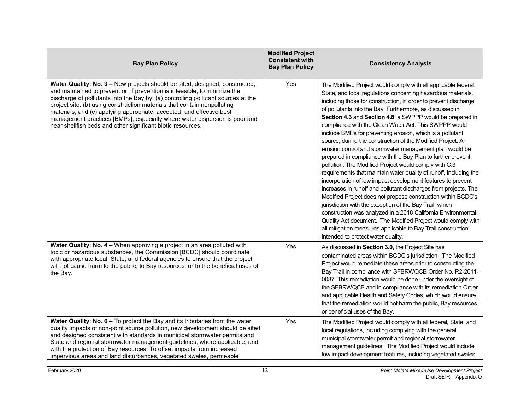| <b>Bay Plan Policy</b>                                                                                                                                                                                                                                                                                                                                                                                                                                                                                                                           | <b>Modified Project</b><br><b>Consistent with</b><br><b>Bay Plan Policy</b> | <b>Consistency Analysis</b>                                                                                                                                                                                                                                                                                                                                                                                                                                                                                                                                                                                                                                                                                                                                                                                                                                                                                                                                                                                                                                                                                                                                                                                                                                                |
|--------------------------------------------------------------------------------------------------------------------------------------------------------------------------------------------------------------------------------------------------------------------------------------------------------------------------------------------------------------------------------------------------------------------------------------------------------------------------------------------------------------------------------------------------|-----------------------------------------------------------------------------|----------------------------------------------------------------------------------------------------------------------------------------------------------------------------------------------------------------------------------------------------------------------------------------------------------------------------------------------------------------------------------------------------------------------------------------------------------------------------------------------------------------------------------------------------------------------------------------------------------------------------------------------------------------------------------------------------------------------------------------------------------------------------------------------------------------------------------------------------------------------------------------------------------------------------------------------------------------------------------------------------------------------------------------------------------------------------------------------------------------------------------------------------------------------------------------------------------------------------------------------------------------------------|
| Water Quality: No. 3 - New projects should be sited, designed, constructed,<br>and maintained to prevent or, if prevention is infeasible, to minimize the<br>discharge of pollutants into the Bay by: (a) controlling pollutant sources at the<br>project site; (b) using construction materials that contain nonpolluting<br>materials; and (c) applying appropriate, accepted, and effective best<br>management practices [BMPs], especially where water dispersion is poor and<br>near shellfish beds and other significant biotic resources. | Yes                                                                         | The Modified Project would comply with all applicable federal,<br>State, and local regulations concerning hazardous materials,<br>including those for construction, in order to prevent discharge<br>of pollutants into the Bay. Furthermore, as discussed in<br>Section 4.3 and Section 4.8, a SWPPP would be prepared in<br>compliance with the Clean Water Act. This SWPPP would<br>include BMPs for preventing erosion, which is a pollutant<br>source, during the construction of the Modified Project. An<br>erosion control and stormwater management plan would be<br>prepared in compliance with the Bay Plan to further prevent<br>pollution. The Modified Project would comply with C.3<br>requirements that maintain water quality of runoff, including the<br>incorporation of low impact development features to prevent<br>increases in runoff and pollutant discharges from projects. The<br>Modified Project does not propose construction within BCDC's<br>jurisdiction with the exception of the Bay Trail, which<br>construction was analyzed in a 2018 California Environmental<br>Quality Act document. The Modified Project would comply with<br>all mitigation measures applicable to Bay Trail construction<br>intended to protect water quality. |
| Water Quality: No. 4 - When approving a project in an area polluted with<br>toxic or hazardous substances, the Commission [BCDC] should coordinate<br>with appropriate local, State, and federal agencies to ensure that the project<br>will not cause harm to the public, to Bay resources, or to the beneficial uses of<br>the Bay.                                                                                                                                                                                                            | Yes                                                                         | As discussed in Section 3.0, the Project Site has<br>contaminated areas within BCDC's jurisdiction. The Modified<br>Project would remediate these areas prior to constructing the<br>Bay Trail in compliance with SFBRWQCB Order No. R2-2011-<br>0087. This remediation would be done under the oversight of<br>the SFBRWQCB and in compliance with its remediation Order<br>and applicable Health and Safety Codes, which would ensure<br>that the remediation would not harm the public, Bay resources,<br>or beneficial uses of the Bay.                                                                                                                                                                                                                                                                                                                                                                                                                                                                                                                                                                                                                                                                                                                                |
| Water Quality: No. 6 - To protect the Bay and its tributaries from the water<br>quality impacts of non-point source pollution, new development should be sited<br>and designed consistent with standards in municipal stormwater permits and<br>State and regional stormwater management guidelines, where applicable, and<br>with the protection of Bay resources. To offset impacts from increased<br>impervious areas and land disturbances, vegetated swales, permeable                                                                      | Yes                                                                         | The Modified Project would comply with all federal, State, and<br>local regulations, including complying with the general<br>municipal stormwater permit and regional stormwater<br>management guidelines. The Modified Project would include<br>low impact development features, including vegetated swales,                                                                                                                                                                                                                                                                                                                                                                                                                                                                                                                                                                                                                                                                                                                                                                                                                                                                                                                                                              |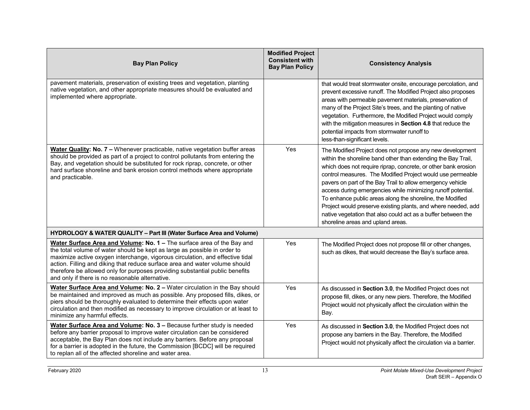| <b>Bay Plan Policy</b>                                                                                                                                                                                                                                                                                                                                                                                                                                 | <b>Modified Project</b><br><b>Consistent with</b><br><b>Bay Plan Policy</b> | <b>Consistency Analysis</b>                                                                                                                                                                                                                                                                                                                                                                                                                                                                                                                                                                                                  |
|--------------------------------------------------------------------------------------------------------------------------------------------------------------------------------------------------------------------------------------------------------------------------------------------------------------------------------------------------------------------------------------------------------------------------------------------------------|-----------------------------------------------------------------------------|------------------------------------------------------------------------------------------------------------------------------------------------------------------------------------------------------------------------------------------------------------------------------------------------------------------------------------------------------------------------------------------------------------------------------------------------------------------------------------------------------------------------------------------------------------------------------------------------------------------------------|
| pavement materials, preservation of existing trees and vegetation, planting<br>native vegetation, and other appropriate measures should be evaluated and<br>implemented where appropriate.                                                                                                                                                                                                                                                             |                                                                             | that would treat stormwater onsite, encourage percolation, and<br>prevent excessive runoff. The Modified Project also proposes<br>areas with permeable pavement materials, preservation of<br>many of the Project Site's trees, and the planting of native<br>vegetation. Furthermore, the Modified Project would comply<br>with the mitigation measures in Section 4.8 that reduce the<br>potential impacts from stormwater runoff to<br>less-than-significant levels.                                                                                                                                                      |
| Water Quality: No. 7 - Whenever practicable, native vegetation buffer areas<br>should be provided as part of a project to control pollutants from entering the<br>Bay, and vegetation should be substituted for rock riprap, concrete, or other<br>hard surface shoreline and bank erosion control methods where appropriate<br>and practicable.                                                                                                       | Yes                                                                         | The Modified Project does not propose any new development<br>within the shoreline band other than extending the Bay Trail,<br>which does not require riprap, concrete, or other bank erosion<br>control measures. The Modified Project would use permeable<br>pavers on part of the Bay Trail to allow emergency vehicle<br>access during emergencies while minimizing runoff potential.<br>To enhance public areas along the shoreline, the Modified<br>Project would preserve existing plants, and where needed, add<br>native vegetation that also could act as a buffer between the<br>shoreline areas and upland areas. |
| HYDROLOGY & WATER QUALITY - Part III (Water Surface Area and Volume)                                                                                                                                                                                                                                                                                                                                                                                   |                                                                             |                                                                                                                                                                                                                                                                                                                                                                                                                                                                                                                                                                                                                              |
| Water Surface Area and Volume: No. 1 - The surface area of the Bay and<br>the total volume of water should be kept as large as possible in order to<br>maximize active oxygen interchange, vigorous circulation, and effective tidal<br>action. Filling and diking that reduce surface area and water volume should<br>therefore be allowed only for purposes providing substantial public benefits<br>and only if there is no reasonable alternative. | Yes                                                                         | The Modified Project does not propose fill or other changes,<br>such as dikes, that would decrease the Bay's surface area.                                                                                                                                                                                                                                                                                                                                                                                                                                                                                                   |
| Water Surface Area and Volume: No. 2 - Water circulation in the Bay should<br>be maintained and improved as much as possible. Any proposed fills, dikes, or<br>piers should be thoroughly evaluated to determine their effects upon water<br>circulation and then modified as necessary to improve circulation or at least to<br>minimize any harmful effects.                                                                                         | Yes                                                                         | As discussed in Section 3.0, the Modified Project does not<br>propose fill, dikes, or any new piers. Therefore, the Modified<br>Project would not physically affect the circulation within the<br>Bay.                                                                                                                                                                                                                                                                                                                                                                                                                       |
| Water Surface Area and Volume: No. 3 - Because further study is needed<br>before any barrier proposal to improve water circulation can be considered<br>acceptable, the Bay Plan does not include any barriers. Before any proposal<br>for a barrier is adopted in the future, the Commission [BCDC] will be required<br>to replan all of the affected shoreline and water area.                                                                       | Yes                                                                         | As discussed in Section 3.0, the Modified Project does not<br>propose any barriers in the Bay. Therefore, the Modified<br>Project would not physically affect the circulation via a barrier.                                                                                                                                                                                                                                                                                                                                                                                                                                 |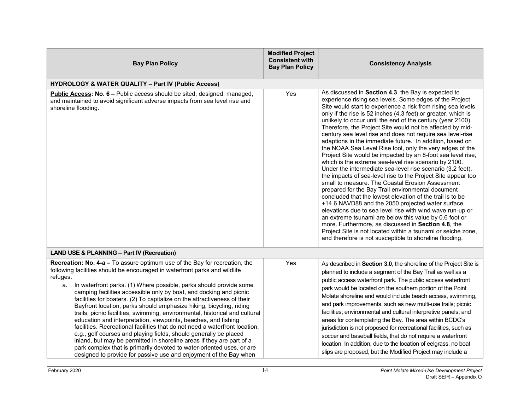| <b>Bay Plan Policy</b>                                                                                                                                                                                                                                                                                                                                                                                                                                                                                                                                                                                                                                                                                                                                                                                                                                                                                                                                                                                | <b>Modified Project</b><br><b>Consistent with</b><br><b>Bay Plan Policy</b> | <b>Consistency Analysis</b>                                                                                                                                                                                                                                                                                                                                                                                                                                                                                                                                                                                                                                                                                                                                                                                                                                                                                                                                                                                                                                                                                                                                                                                                                                                                                                                                 |
|-------------------------------------------------------------------------------------------------------------------------------------------------------------------------------------------------------------------------------------------------------------------------------------------------------------------------------------------------------------------------------------------------------------------------------------------------------------------------------------------------------------------------------------------------------------------------------------------------------------------------------------------------------------------------------------------------------------------------------------------------------------------------------------------------------------------------------------------------------------------------------------------------------------------------------------------------------------------------------------------------------|-----------------------------------------------------------------------------|-------------------------------------------------------------------------------------------------------------------------------------------------------------------------------------------------------------------------------------------------------------------------------------------------------------------------------------------------------------------------------------------------------------------------------------------------------------------------------------------------------------------------------------------------------------------------------------------------------------------------------------------------------------------------------------------------------------------------------------------------------------------------------------------------------------------------------------------------------------------------------------------------------------------------------------------------------------------------------------------------------------------------------------------------------------------------------------------------------------------------------------------------------------------------------------------------------------------------------------------------------------------------------------------------------------------------------------------------------------|
| <b>HYDROLOGY &amp; WATER QUALITY - Part IV (Public Access)</b>                                                                                                                                                                                                                                                                                                                                                                                                                                                                                                                                                                                                                                                                                                                                                                                                                                                                                                                                        |                                                                             |                                                                                                                                                                                                                                                                                                                                                                                                                                                                                                                                                                                                                                                                                                                                                                                                                                                                                                                                                                                                                                                                                                                                                                                                                                                                                                                                                             |
| Public Access: No. 6 - Public access should be sited, designed, managed,<br>and maintained to avoid significant adverse impacts from sea level rise and<br>shoreline flooding.                                                                                                                                                                                                                                                                                                                                                                                                                                                                                                                                                                                                                                                                                                                                                                                                                        | Yes                                                                         | As discussed in Section 4.3, the Bay is expected to<br>experience rising sea levels. Some edges of the Project<br>Site would start to experience a risk from rising sea levels<br>only if the rise is 52 inches (4.3 feet) or greater, which is<br>unlikely to occur until the end of the century (year 2100).<br>Therefore, the Project Site would not be affected by mid-<br>century sea level rise and does not require sea level-rise<br>adaptions in the immediate future. In addition, based on<br>the NOAA Sea Level Rise tool, only the very edges of the<br>Project Site would be impacted by an 8-foot sea level rise,<br>which is the extreme sea-level rise scenario by 2100.<br>Under the intermediate sea-level rise scenario (3.2 feet),<br>the impacts of sea-level rise to the Project Site appear too<br>small to measure. The Coastal Erosion Assessment<br>prepared for the Bay Trail environmental document<br>concluded that the lowest elevation of the trail is to be<br>+14.6 NAVD88 and the 2050 projected water surface<br>elevations due to sea level rise with wind wave run-up or<br>an extreme tsunami are below this value by 0.6 foot or<br>more. Furthermore, as discussed in Section 4.8, the<br>Project Site is not located within a tsunami or seiche zone,<br>and therefore is not susceptible to shoreline flooding. |
| <b>LAND USE &amp; PLANNING - Part IV (Recreation)</b>                                                                                                                                                                                                                                                                                                                                                                                                                                                                                                                                                                                                                                                                                                                                                                                                                                                                                                                                                 |                                                                             |                                                                                                                                                                                                                                                                                                                                                                                                                                                                                                                                                                                                                                                                                                                                                                                                                                                                                                                                                                                                                                                                                                                                                                                                                                                                                                                                                             |
| Recreation: No. 4-a - To assure optimum use of the Bay for recreation, the<br>following facilities should be encouraged in waterfront parks and wildlife<br>refuges.<br>In waterfront parks. (1) Where possible, parks should provide some<br>a.<br>camping facilities accessible only by boat, and docking and picnic<br>facilities for boaters. (2) To capitalize on the attractiveness of their<br>Bayfront location, parks should emphasize hiking, bicycling, riding<br>trails, picnic facilities, swimming, environmental, historical and cultural<br>education and interpretation, viewpoints, beaches, and fishing<br>facilities. Recreational facilities that do not need a waterfront location,<br>e.g., golf courses and playing fields, should generally be placed<br>inland, but may be permitted in shoreline areas if they are part of a<br>park complex that is primarily devoted to water-oriented uses, or are<br>designed to provide for passive use and enjoyment of the Bay when | Yes                                                                         | As described in Section 3.0, the shoreline of the Project Site is<br>planned to include a segment of the Bay Trail as well as a<br>public access waterfront park. The public access waterfront<br>park would be located on the southern portion of the Point<br>Molate shoreline and would include beach access, swimming,<br>and park improvements, such as new multi-use trails; picnic<br>facilities; environmental and cultural interpretive panels; and<br>areas for contemplating the Bay. The area within BCDC's<br>jurisdiction is not proposed for recreational facilities, such as<br>soccer and baseball fields, that do not require a waterfront<br>location. In addition, due to the location of eelgrass, no boat<br>slips are proposed, but the Modified Project may include a                                                                                                                                                                                                                                                                                                                                                                                                                                                                                                                                                               |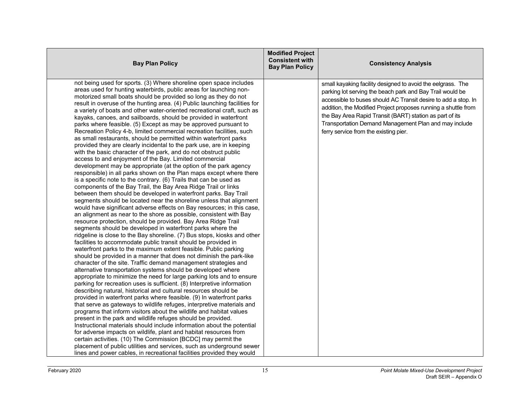| <b>Bay Plan Policy</b>                                                                                                                                                                                                                                                                                                                                                                                                                                                                                                                                                                                                                                                                                                                                                                                                                                                                                                                                                                                                                                                                                                                                                                                                                                                                                                                                                                                                                                                                                                                                                                                                                                                                                                                                                                                                                                                                                                                                                                                                                                                                                                                                                                                                                                                                                                                                                                                                                                                                                                                                                                                                                                                                                                                                                                                                                                                                    | <b>Modified Project</b><br><b>Consistent with</b><br><b>Bay Plan Policy</b> | <b>Consistency Analysis</b>                                                                                                                                                                                                                                                                                                                                                                                                |
|-------------------------------------------------------------------------------------------------------------------------------------------------------------------------------------------------------------------------------------------------------------------------------------------------------------------------------------------------------------------------------------------------------------------------------------------------------------------------------------------------------------------------------------------------------------------------------------------------------------------------------------------------------------------------------------------------------------------------------------------------------------------------------------------------------------------------------------------------------------------------------------------------------------------------------------------------------------------------------------------------------------------------------------------------------------------------------------------------------------------------------------------------------------------------------------------------------------------------------------------------------------------------------------------------------------------------------------------------------------------------------------------------------------------------------------------------------------------------------------------------------------------------------------------------------------------------------------------------------------------------------------------------------------------------------------------------------------------------------------------------------------------------------------------------------------------------------------------------------------------------------------------------------------------------------------------------------------------------------------------------------------------------------------------------------------------------------------------------------------------------------------------------------------------------------------------------------------------------------------------------------------------------------------------------------------------------------------------------------------------------------------------------------------------------------------------------------------------------------------------------------------------------------------------------------------------------------------------------------------------------------------------------------------------------------------------------------------------------------------------------------------------------------------------------------------------------------------------------------------------------------------------|-----------------------------------------------------------------------------|----------------------------------------------------------------------------------------------------------------------------------------------------------------------------------------------------------------------------------------------------------------------------------------------------------------------------------------------------------------------------------------------------------------------------|
| not being used for sports. (3) Where shoreline open space includes<br>areas used for hunting waterbirds, public areas for launching non-<br>motorized small boats should be provided so long as they do not<br>result in overuse of the hunting area. (4) Public launching facilities for<br>a variety of boats and other water-oriented recreational craft, such as<br>kayaks, canoes, and sailboards, should be provided in waterfront<br>parks where feasible. (5) Except as may be approved pursuant to<br>Recreation Policy 4-b, limited commercial recreation facilities, such<br>as small restaurants, should be permitted within waterfront parks<br>provided they are clearly incidental to the park use, are in keeping<br>with the basic character of the park, and do not obstruct public<br>access to and enjoyment of the Bay. Limited commercial<br>development may be appropriate (at the option of the park agency<br>responsible) in all parks shown on the Plan maps except where there<br>is a specific note to the contrary. (6) Trails that can be used as<br>components of the Bay Trail, the Bay Area Ridge Trail or links<br>between them should be developed in waterfront parks. Bay Trail<br>segments should be located near the shoreline unless that alignment<br>would have significant adverse effects on Bay resources; in this case,<br>an alignment as near to the shore as possible, consistent with Bay<br>resource protection, should be provided. Bay Area Ridge Trail<br>segments should be developed in waterfront parks where the<br>ridgeline is close to the Bay shoreline. (7) Bus stops, kiosks and other<br>facilities to accommodate public transit should be provided in<br>waterfront parks to the maximum extent feasible. Public parking<br>should be provided in a manner that does not diminish the park-like<br>character of the site. Traffic demand management strategies and<br>alternative transportation systems should be developed where<br>appropriate to minimize the need for large parking lots and to ensure<br>parking for recreation uses is sufficient. (8) Interpretive information<br>describing natural, historical and cultural resources should be<br>provided in waterfront parks where feasible. (9) In waterfront parks<br>that serve as gateways to wildlife refuges, interpretive materials and<br>programs that inform visitors about the wildlife and habitat values<br>present in the park and wildlife refuges should be provided.<br>Instructional materials should include information about the potential<br>for adverse impacts on wildlife, plant and habitat resources from<br>certain activities. (10) The Commission [BCDC] may permit the<br>placement of public utilities and services, such as underground sewer<br>lines and power cables, in recreational facilities provided they would |                                                                             | small kayaking facility designed to avoid the eelgrass. The<br>parking lot serving the beach park and Bay Trail would be<br>accessible to buses should AC Transit desire to add a stop. In<br>addition, the Modified Project proposes running a shuttle from<br>the Bay Area Rapid Transit (BART) station as part of its<br>Transportation Demand Management Plan and may include<br>ferry service from the existing pier. |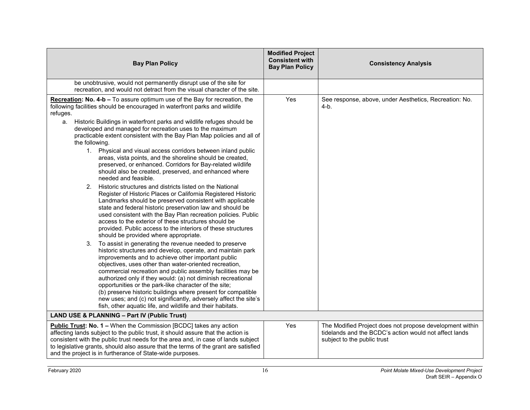|                                                                                                                                                                                                                                                                                                                                                                                                                                                                                                                                                                                                                                    | <b>Modified Project</b><br><b>Consistent with</b> |                                                                                                                                                   |
|------------------------------------------------------------------------------------------------------------------------------------------------------------------------------------------------------------------------------------------------------------------------------------------------------------------------------------------------------------------------------------------------------------------------------------------------------------------------------------------------------------------------------------------------------------------------------------------------------------------------------------|---------------------------------------------------|---------------------------------------------------------------------------------------------------------------------------------------------------|
| <b>Bay Plan Policy</b>                                                                                                                                                                                                                                                                                                                                                                                                                                                                                                                                                                                                             | <b>Bay Plan Policy</b>                            | <b>Consistency Analysis</b>                                                                                                                       |
| be unobtrusive, would not permanently disrupt use of the site for<br>recreation, and would not detract from the visual character of the site.                                                                                                                                                                                                                                                                                                                                                                                                                                                                                      |                                                   |                                                                                                                                                   |
| Recreation: No. 4-b - To assure optimum use of the Bay for recreation, the<br>following facilities should be encouraged in waterfront parks and wildlife<br>refuges.<br>Historic Buildings in waterfront parks and wildlife refuges should be<br>a.<br>developed and managed for recreation uses to the maximum                                                                                                                                                                                                                                                                                                                    | Yes                                               | See response, above, under Aesthetics, Recreation: No.<br>$4-b.$                                                                                  |
| practicable extent consistent with the Bay Plan Map policies and all of<br>the following.                                                                                                                                                                                                                                                                                                                                                                                                                                                                                                                                          |                                                   |                                                                                                                                                   |
| 1. Physical and visual access corridors between inland public<br>areas, vista points, and the shoreline should be created,<br>preserved, or enhanced. Corridors for Bay-related wildlife<br>should also be created, preserved, and enhanced where<br>needed and feasible.                                                                                                                                                                                                                                                                                                                                                          |                                                   |                                                                                                                                                   |
| 2. Historic structures and districts listed on the National<br>Register of Historic Places or California Registered Historic<br>Landmarks should be preserved consistent with applicable<br>state and federal historic preservation law and should be<br>used consistent with the Bay Plan recreation policies. Public<br>access to the exterior of these structures should be<br>provided. Public access to the interiors of these structures<br>should be provided where appropriate.                                                                                                                                            |                                                   |                                                                                                                                                   |
| 3. To assist in generating the revenue needed to preserve<br>historic structures and develop, operate, and maintain park<br>improvements and to achieve other important public<br>objectives, uses other than water-oriented recreation,<br>commercial recreation and public assembly facilities may be<br>authorized only if they would: (a) not diminish recreational<br>opportunities or the park-like character of the site;<br>(b) preserve historic buildings where present for compatible<br>new uses; and (c) not significantly, adversely affect the site's<br>fish, other aquatic life, and wildlife and their habitats. |                                                   |                                                                                                                                                   |
| <b>LAND USE &amp; PLANNING - Part IV (Public Trust)</b>                                                                                                                                                                                                                                                                                                                                                                                                                                                                                                                                                                            |                                                   |                                                                                                                                                   |
| <b>Public Trust: No. 1 – When the Commission [BCDC] takes any action</b><br>affecting lands subject to the public trust, it should assure that the action is<br>consistent with the public trust needs for the area and, in case of lands subject<br>to legislative grants, should also assure that the terms of the grant are satisfied<br>and the project is in furtherance of State-wide purposes.                                                                                                                                                                                                                              | Yes                                               | The Modified Project does not propose development within<br>tidelands and the BCDC's action would not affect lands<br>subject to the public trust |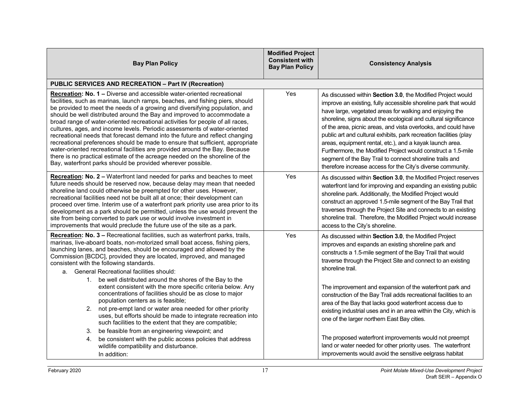| <b>Bay Plan Policy</b>                                                                                                                                                                                                                                                                                                                                                                                                                                                                                                                                                                                                                                                                                                                                                                                                                                                           | <b>Modified Project</b><br><b>Consistent with</b><br><b>Bay Plan Policy</b> | <b>Consistency Analysis</b>                                                                                                                                                                                                                                                                                                                                                                                                                                                                                                                                                                                                                                  |
|----------------------------------------------------------------------------------------------------------------------------------------------------------------------------------------------------------------------------------------------------------------------------------------------------------------------------------------------------------------------------------------------------------------------------------------------------------------------------------------------------------------------------------------------------------------------------------------------------------------------------------------------------------------------------------------------------------------------------------------------------------------------------------------------------------------------------------------------------------------------------------|-----------------------------------------------------------------------------|--------------------------------------------------------------------------------------------------------------------------------------------------------------------------------------------------------------------------------------------------------------------------------------------------------------------------------------------------------------------------------------------------------------------------------------------------------------------------------------------------------------------------------------------------------------------------------------------------------------------------------------------------------------|
| <b>PUBLIC SERVICES AND RECREATION - Part IV (Recreation)</b>                                                                                                                                                                                                                                                                                                                                                                                                                                                                                                                                                                                                                                                                                                                                                                                                                     |                                                                             |                                                                                                                                                                                                                                                                                                                                                                                                                                                                                                                                                                                                                                                              |
| Recreation: No. 1 - Diverse and accessible water-oriented recreational<br>facilities, such as marinas, launch ramps, beaches, and fishing piers, should<br>be provided to meet the needs of a growing and diversifying population, and<br>should be well distributed around the Bay and improved to accommodate a<br>broad range of water-oriented recreational activities for people of all races,<br>cultures, ages, and income levels. Periodic assessments of water-oriented<br>recreational needs that forecast demand into the future and reflect changing<br>recreational preferences should be made to ensure that sufficient, appropriate<br>water-oriented recreational facilities are provided around the Bay. Because<br>there is no practical estimate of the acreage needed on the shoreline of the<br>Bay, waterfront parks should be provided wherever possible. | Yes                                                                         | As discussed within Section 3.0, the Modified Project would<br>improve an existing, fully accessible shoreline park that would<br>have large, vegetated areas for walking and enjoying the<br>shoreline, signs about the ecological and cultural significance<br>of the area, picnic areas, and vista overlooks, and could have<br>public art and cultural exhibits, park recreation facilities (play<br>areas, equipment rental, etc.), and a kayak launch area.<br>Furthermore, the Modified Project would construct a 1.5-mile<br>segment of the Bay Trail to connect shoreline trails and<br>therefore increase access for the City's diverse community. |
| Recreation: No. 2 - Waterfront land needed for parks and beaches to meet<br>future needs should be reserved now, because delay may mean that needed<br>shoreline land could otherwise be preempted for other uses. However,<br>recreational facilities need not be built all at once; their development can<br>proceed over time. Interim use of a waterfront park priority use area prior to its<br>development as a park should be permitted, unless the use would prevent the<br>site from being converted to park use or would involve investment in<br>improvements that would preclude the future use of the site as a park.                                                                                                                                                                                                                                               | Yes                                                                         | As discussed within Section 3.0, the Modified Project reserves<br>waterfront land for improving and expanding an existing public<br>shoreline park. Additionally, the Modified Project would<br>construct an approved 1.5-mile segment of the Bay Trail that<br>traverses through the Project Site and connects to an existing<br>shoreline trail. Therefore, the Modified Project would increase<br>access to the City's shoreline.                                                                                                                                                                                                                         |
| <b>Recreation: No. 3 - Recreational facilities, such as waterfront parks, trails,</b><br>marinas, live-aboard boats, non-motorized small boat access, fishing piers,<br>launching lanes, and beaches, should be encouraged and allowed by the<br>Commission [BCDC], provided they are located, improved, and managed<br>consistent with the following standards.<br>a. General Recreational facilities should:<br>1. be well distributed around the shores of the Bay to the<br>extent consistent with the more specific criteria below. Any                                                                                                                                                                                                                                                                                                                                     | Yes                                                                         | As discussed within Section 3.0, the Modified Project<br>improves and expands an existing shoreline park and<br>constructs a 1.5-mile segment of the Bay Trail that would<br>traverse through the Project Site and connect to an existing<br>shoreline trail.<br>The improvement and expansion of the waterfront park and                                                                                                                                                                                                                                                                                                                                    |
| concentrations of facilities should be as close to major<br>population centers as is feasible;<br>2. not pre-empt land or water area needed for other priority<br>uses, but efforts should be made to integrate recreation into<br>such facilities to the extent that they are compatible;                                                                                                                                                                                                                                                                                                                                                                                                                                                                                                                                                                                       |                                                                             | construction of the Bay Trail adds recreational facilities to an<br>area of the Bay that lacks good waterfront access due to<br>existing industrial uses and in an area within the City, which is<br>one of the larger northern East Bay cities.                                                                                                                                                                                                                                                                                                                                                                                                             |
| be feasible from an engineering viewpoint; and<br>3.<br>be consistent with the public access policies that address<br>4.<br>wildlife compatibility and disturbance.<br>In addition:                                                                                                                                                                                                                                                                                                                                                                                                                                                                                                                                                                                                                                                                                              |                                                                             | The proposed waterfront improvements would not preempt<br>land or water needed for other priority uses. The waterfront<br>improvements would avoid the sensitive eelgrass habitat                                                                                                                                                                                                                                                                                                                                                                                                                                                                            |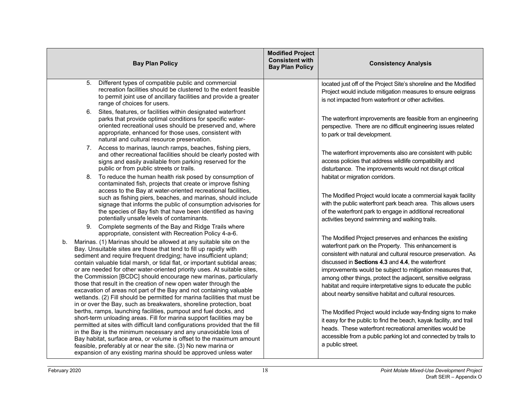| <b>Bay Plan Policy</b>                                                                                                                                                                                                                                                                                                                                                                                                                                                                                                                                                                                                                                                                                                                                                                                 | <b>Modified Project</b><br><b>Consistent with</b><br><b>Bay Plan Policy</b> | <b>Consistency Analysis</b>                                                                                                                                                                                                                                                                                                                                                                                                                                                                       |
|--------------------------------------------------------------------------------------------------------------------------------------------------------------------------------------------------------------------------------------------------------------------------------------------------------------------------------------------------------------------------------------------------------------------------------------------------------------------------------------------------------------------------------------------------------------------------------------------------------------------------------------------------------------------------------------------------------------------------------------------------------------------------------------------------------|-----------------------------------------------------------------------------|---------------------------------------------------------------------------------------------------------------------------------------------------------------------------------------------------------------------------------------------------------------------------------------------------------------------------------------------------------------------------------------------------------------------------------------------------------------------------------------------------|
| 5.<br>Different types of compatible public and commercial<br>recreation facilities should be clustered to the extent feasible<br>to permit joint use of ancillary facilities and provide a greater<br>range of choices for users.                                                                                                                                                                                                                                                                                                                                                                                                                                                                                                                                                                      |                                                                             | located just off of the Project Site's shoreline and the Modified<br>Project would include mitigation measures to ensure eelgrass<br>is not impacted from waterfront or other activities.                                                                                                                                                                                                                                                                                                         |
| 6. Sites, features, or facilities within designated waterfront<br>parks that provide optimal conditions for specific water-<br>oriented recreational uses should be preserved and, where<br>appropriate, enhanced for those uses, consistent with<br>natural and cultural resource preservation.                                                                                                                                                                                                                                                                                                                                                                                                                                                                                                       |                                                                             | The waterfront improvements are feasible from an engineering<br>perspective. There are no difficult engineering issues related<br>to park or trail development.                                                                                                                                                                                                                                                                                                                                   |
| 7. Access to marinas, launch ramps, beaches, fishing piers,<br>and other recreational facilities should be clearly posted with<br>signs and easily available from parking reserved for the<br>public or from public streets or trails.                                                                                                                                                                                                                                                                                                                                                                                                                                                                                                                                                                 |                                                                             | The waterfront improvements also are consistent with public<br>access policies that address wildlife compatibility and<br>disturbance. The improvements would not disrupt critical                                                                                                                                                                                                                                                                                                                |
| 8. To reduce the human health risk posed by consumption of<br>contaminated fish, projects that create or improve fishing<br>access to the Bay at water-oriented recreational facilities,<br>such as fishing piers, beaches, and marinas, should include<br>signage that informs the public of consumption advisories for<br>the species of Bay fish that have been identified as having<br>potentially unsafe levels of contaminants.<br>9. Complete segments of the Bay and Ridge Trails where                                                                                                                                                                                                                                                                                                        |                                                                             | habitat or migration corridors.<br>The Modified Project would locate a commercial kayak facility<br>with the public waterfront park beach area. This allows users<br>of the waterfront park to engage in additional recreational<br>activities beyond swimming and walking trails.                                                                                                                                                                                                                |
| appropriate, consistent with Recreation Policy 4-a-6.<br>Marinas. (1) Marinas should be allowed at any suitable site on the<br>b.<br>Bay. Unsuitable sites are those that tend to fill up rapidly with<br>sediment and require frequent dredging; have insufficient upland;<br>contain valuable tidal marsh, or tidal flat, or important subtidal areas;<br>or are needed for other water-oriented priority uses. At suitable sites,<br>the Commission [BCDC] should encourage new marinas, particularly<br>those that result in the creation of new open water through the<br>excavation of areas not part of the Bay and not containing valuable<br>wetlands. (2) Fill should be permitted for marina facilities that must be<br>in or over the Bay, such as breakwaters, shoreline protection, boat |                                                                             | The Modified Project preserves and enhances the existing<br>waterfront park on the Property. This enhancement is<br>consistent with natural and cultural resource preservation. As<br>discussed in Sections 4.3 and 4.4, the waterfront<br>improvements would be subject to mitigation measures that,<br>among other things, protect the adjacent, sensitive eelgrass<br>habitat and require interpretative signs to educate the public<br>about nearby sensitive habitat and cultural resources. |
| berths, ramps, launching facilities, pumpout and fuel docks, and<br>short-term unloading areas. Fill for marina support facilities may be<br>permitted at sites with difficult land configurations provided that the fill<br>in the Bay is the minimum necessary and any unavoidable loss of<br>Bay habitat, surface area, or volume is offset to the maximum amount<br>feasible, preferably at or near the site. (3) No new marina or<br>expansion of any existing marina should be approved unless water                                                                                                                                                                                                                                                                                             |                                                                             | The Modified Project would include way-finding signs to make<br>it easy for the public to find the beach, kayak facility, and trail<br>heads. These waterfront recreational amenities would be<br>accessible from a public parking lot and connected by trails to<br>a public street.                                                                                                                                                                                                             |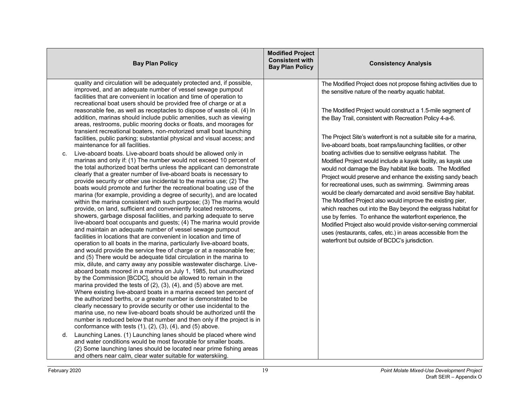| <b>Bay Plan Policy</b>                                                                                                                                                                                                                                                                                                                                                                                                                                                                                                                                                                                                                                                                                                                                                                                                                                                                                                                                                                                                                                                                                                                                                                                                                                                                                                                                                                                                                                                                                                                                                                                                                                                                                                                                                                                                                                                                                                                                                                                                                                                                                                                                                                                                                                                                                                                                                                                                                                                                                                                                                                                                                                                                                                                                                                                                            | <b>Modified Project</b><br><b>Consistent with</b><br><b>Consistency Analysis</b><br><b>Bay Plan Policy</b>                                                                                                                                                                                                                                                                                                                                                                                                                                                                                                                                                                                                                                                                                                                                                                                                                                                                                                                                                                                                                                                  |
|-----------------------------------------------------------------------------------------------------------------------------------------------------------------------------------------------------------------------------------------------------------------------------------------------------------------------------------------------------------------------------------------------------------------------------------------------------------------------------------------------------------------------------------------------------------------------------------------------------------------------------------------------------------------------------------------------------------------------------------------------------------------------------------------------------------------------------------------------------------------------------------------------------------------------------------------------------------------------------------------------------------------------------------------------------------------------------------------------------------------------------------------------------------------------------------------------------------------------------------------------------------------------------------------------------------------------------------------------------------------------------------------------------------------------------------------------------------------------------------------------------------------------------------------------------------------------------------------------------------------------------------------------------------------------------------------------------------------------------------------------------------------------------------------------------------------------------------------------------------------------------------------------------------------------------------------------------------------------------------------------------------------------------------------------------------------------------------------------------------------------------------------------------------------------------------------------------------------------------------------------------------------------------------------------------------------------------------------------------------------------------------------------------------------------------------------------------------------------------------------------------------------------------------------------------------------------------------------------------------------------------------------------------------------------------------------------------------------------------------------------------------------------------------------------------------------------------------|-------------------------------------------------------------------------------------------------------------------------------------------------------------------------------------------------------------------------------------------------------------------------------------------------------------------------------------------------------------------------------------------------------------------------------------------------------------------------------------------------------------------------------------------------------------------------------------------------------------------------------------------------------------------------------------------------------------------------------------------------------------------------------------------------------------------------------------------------------------------------------------------------------------------------------------------------------------------------------------------------------------------------------------------------------------------------------------------------------------------------------------------------------------|
| quality and circulation will be adequately protected and, if possible,<br>improved, and an adequate number of vessel sewage pumpout<br>facilities that are convenient in location and time of operation to<br>recreational boat users should be provided free of charge or at a<br>reasonable fee, as well as receptacles to dispose of waste oil. (4) In<br>addition, marinas should include public amenities, such as viewing<br>areas, restrooms, public mooring docks or floats, and moorages for<br>transient recreational boaters, non-motorized small boat launching<br>facilities, public parking; substantial physical and visual access; and<br>maintenance for all facilities.<br>Live-aboard boats. Live-aboard boats should be allowed only in<br>C.<br>marinas and only if: (1) The number would not exceed 10 percent of<br>the total authorized boat berths unless the applicant can demonstrate<br>clearly that a greater number of live-aboard boats is necessary to<br>provide security or other use incidental to the marina use; (2) The<br>boats would promote and further the recreational boating use of the<br>marina (for example, providing a degree of security), and are located<br>within the marina consistent with such purpose; (3) The marina would<br>provide, on land, sufficient and conveniently located restrooms,<br>showers, garbage disposal facilities, and parking adequate to serve<br>live-aboard boat occupants and guests; (4) The marina would provide<br>and maintain an adequate number of vessel sewage pumpout<br>facilities in locations that are convenient in location and time of<br>operation to all boats in the marina, particularly live-aboard boats,<br>and would provide the service free of charge or at a reasonable fee;<br>and (5) There would be adequate tidal circulation in the marina to<br>mix, dilute, and carry away any possible wastewater discharge. Live-<br>aboard boats moored in a marina on July 1, 1985, but unauthorized<br>by the Commission [BCDC], should be allowed to remain in the<br>marina provided the tests of $(2)$ , $(3)$ , $(4)$ , and $(5)$ above are met.<br>Where existing live-aboard boats in a marina exceed ten percent of<br>the authorized berths, or a greater number is demonstrated to be<br>clearly necessary to provide security or other use incidental to the<br>marina use, no new live-aboard boats should be authorized until the<br>number is reduced below that number and then only if the project is in<br>conformance with tests $(1)$ , $(2)$ , $(3)$ , $(4)$ , and $(5)$ above.<br>Launching Lanes. (1) Launching lanes should be placed where wind<br>d.<br>and water conditions would be most favorable for smaller boats.<br>(2) Some launching lanes should be located near prime fishing areas | The Modified Project does not propose fishing activities due to<br>the sensitive nature of the nearby aquatic habitat.<br>The Modified Project would construct a 1.5-mile segment of<br>the Bay Trail, consistent with Recreation Policy 4-a-6.<br>The Project Site's waterfront is not a suitable site for a marina,<br>live-aboard boats, boat ramps/launching facilities, or other<br>boating activities due to sensitive eelgrass habitat. The<br>Modified Project would include a kayak facility, as kayak use<br>would not damage the Bay habitat like boats. The Modified<br>Project would preserve and enhance the existing sandy beach<br>for recreational uses, such as swimming. Swimming areas<br>would be clearly demarcated and avoid sensitive Bay habitat.<br>The Modified Project also would improve the existing pier,<br>which reaches out into the Bay beyond the eelgrass habitat for<br>use by ferries. To enhance the waterfront experience, the<br>Modified Project also would provide visitor-serving commercial<br>uses (restaurants, cafes, etc.) in areas accessible from the<br>waterfront but outside of BCDC's jurisdiction. |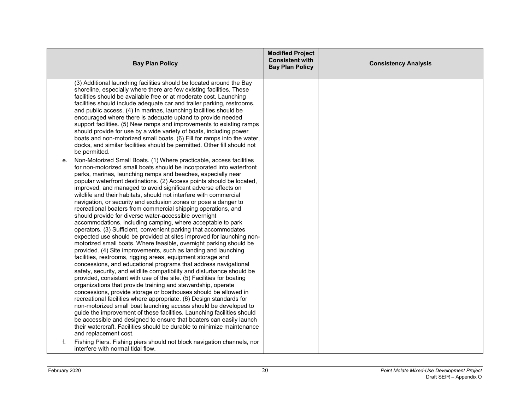|                                         | <b>Bay Plan Policy</b>                                                                                                                                                                                                                                                                                                                                                                                                                                                                                                                                                                                                                                                                                                                                                                                                                                                                                                                                                                                                                                                                                                                                                                                                                                                                                                                                                                                                                                                                                                                                                                                                                                                                                                                                                  | <b>Modified Project</b><br><b>Consistent with</b><br><b>Bay Plan Policy</b> | <b>Consistency Analysis</b> |
|-----------------------------------------|-------------------------------------------------------------------------------------------------------------------------------------------------------------------------------------------------------------------------------------------------------------------------------------------------------------------------------------------------------------------------------------------------------------------------------------------------------------------------------------------------------------------------------------------------------------------------------------------------------------------------------------------------------------------------------------------------------------------------------------------------------------------------------------------------------------------------------------------------------------------------------------------------------------------------------------------------------------------------------------------------------------------------------------------------------------------------------------------------------------------------------------------------------------------------------------------------------------------------------------------------------------------------------------------------------------------------------------------------------------------------------------------------------------------------------------------------------------------------------------------------------------------------------------------------------------------------------------------------------------------------------------------------------------------------------------------------------------------------------------------------------------------------|-----------------------------------------------------------------------------|-----------------------------|
| be permitted.                           | (3) Additional launching facilities should be located around the Bay<br>shoreline, especially where there are few existing facilities. These<br>facilities should be available free or at moderate cost. Launching<br>facilities should include adequate car and trailer parking, restrooms,<br>and public access. (4) In marinas, launching facilities should be<br>encouraged where there is adequate upland to provide needed<br>support facilities. (5) New ramps and improvements to existing ramps<br>should provide for use by a wide variety of boats, including power<br>boats and non-motorized small boats. (6) Fill for ramps into the water,<br>docks, and similar facilities should be permitted. Other fill should not                                                                                                                                                                                                                                                                                                                                                                                                                                                                                                                                                                                                                                                                                                                                                                                                                                                                                                                                                                                                                                   |                                                                             |                             |
| е.<br>and replacement cost.             | Non-Motorized Small Boats. (1) Where practicable, access facilities<br>for non-motorized small boats should be incorporated into waterfront<br>parks, marinas, launching ramps and beaches, especially near<br>popular waterfront destinations. (2) Access points should be located,<br>improved, and managed to avoid significant adverse effects on<br>wildlife and their habitats, should not interfere with commercial<br>navigation, or security and exclusion zones or pose a danger to<br>recreational boaters from commercial shipping operations, and<br>should provide for diverse water-accessible overnight<br>accommodations, including camping, where acceptable to park<br>operators. (3) Sufficient, convenient parking that accommodates<br>expected use should be provided at sites improved for launching non-<br>motorized small boats. Where feasible, overnight parking should be<br>provided. (4) Site improvements, such as landing and launching<br>facilities, restrooms, rigging areas, equipment storage and<br>concessions, and educational programs that address navigational<br>safety, security, and wildlife compatibility and disturbance should be<br>provided, consistent with use of the site. (5) Facilities for boating<br>organizations that provide training and stewardship, operate<br>concessions, provide storage or boathouses should be allowed in<br>recreational facilities where appropriate. (6) Design standards for<br>non-motorized small boat launching access should be developed to<br>guide the improvement of these facilities. Launching facilities should<br>be accessible and designed to ensure that boaters can easily launch<br>their watercraft. Facilities should be durable to minimize maintenance |                                                                             |                             |
| f.<br>interfere with normal tidal flow. | Fishing Piers. Fishing piers should not block navigation channels, nor                                                                                                                                                                                                                                                                                                                                                                                                                                                                                                                                                                                                                                                                                                                                                                                                                                                                                                                                                                                                                                                                                                                                                                                                                                                                                                                                                                                                                                                                                                                                                                                                                                                                                                  |                                                                             |                             |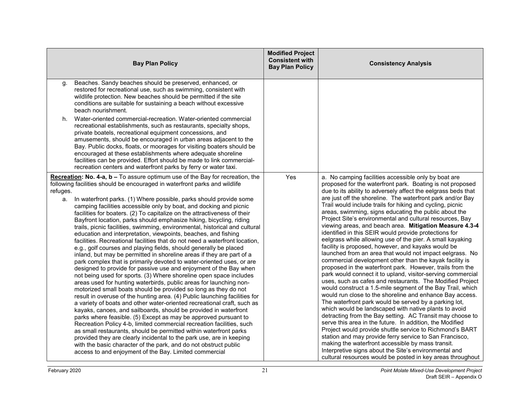| <b>Bay Plan Policy</b>                                                                                                                                                                                                                                                                                                                                                                                                                                                                                                                                                                                                                                                                                                                                                                                                                                                                                                                                                                                                                                                                                                                                                                                                                                                                                                                                                                                                                                                                                                                                                                                                                                                                                                                                                                                                                                                      | <b>Modified Project</b><br><b>Consistent with</b><br><b>Bay Plan Policy</b> | <b>Consistency Analysis</b>                                                                                                                                                                                                                                                                                                                                                                                                                                                                                                                                                                                                                                                                                                                                                                                                                                                                                                                                                                                                                                                                                                                                                                                                                                                                                                                                                                                                                                                                                                                                                                                                                                       |
|-----------------------------------------------------------------------------------------------------------------------------------------------------------------------------------------------------------------------------------------------------------------------------------------------------------------------------------------------------------------------------------------------------------------------------------------------------------------------------------------------------------------------------------------------------------------------------------------------------------------------------------------------------------------------------------------------------------------------------------------------------------------------------------------------------------------------------------------------------------------------------------------------------------------------------------------------------------------------------------------------------------------------------------------------------------------------------------------------------------------------------------------------------------------------------------------------------------------------------------------------------------------------------------------------------------------------------------------------------------------------------------------------------------------------------------------------------------------------------------------------------------------------------------------------------------------------------------------------------------------------------------------------------------------------------------------------------------------------------------------------------------------------------------------------------------------------------------------------------------------------------|-----------------------------------------------------------------------------|-------------------------------------------------------------------------------------------------------------------------------------------------------------------------------------------------------------------------------------------------------------------------------------------------------------------------------------------------------------------------------------------------------------------------------------------------------------------------------------------------------------------------------------------------------------------------------------------------------------------------------------------------------------------------------------------------------------------------------------------------------------------------------------------------------------------------------------------------------------------------------------------------------------------------------------------------------------------------------------------------------------------------------------------------------------------------------------------------------------------------------------------------------------------------------------------------------------------------------------------------------------------------------------------------------------------------------------------------------------------------------------------------------------------------------------------------------------------------------------------------------------------------------------------------------------------------------------------------------------------------------------------------------------------|
| Beaches. Sandy beaches should be preserved, enhanced, or<br>g.<br>restored for recreational use, such as swimming, consistent with<br>wildlife protection. New beaches should be permitted if the site<br>conditions are suitable for sustaining a beach without excessive<br>beach nourishment.                                                                                                                                                                                                                                                                                                                                                                                                                                                                                                                                                                                                                                                                                                                                                                                                                                                                                                                                                                                                                                                                                                                                                                                                                                                                                                                                                                                                                                                                                                                                                                            |                                                                             |                                                                                                                                                                                                                                                                                                                                                                                                                                                                                                                                                                                                                                                                                                                                                                                                                                                                                                                                                                                                                                                                                                                                                                                                                                                                                                                                                                                                                                                                                                                                                                                                                                                                   |
| Water-oriented commercial-recreation. Water-oriented commercial<br>h.<br>recreational establishments, such as restaurants, specialty shops,<br>private boatels, recreational equipment concessions, and<br>amusements, should be encouraged in urban areas adjacent to the<br>Bay. Public docks, floats, or moorages for visiting boaters should be<br>encouraged at these establishments where adequate shoreline<br>facilities can be provided. Effort should be made to link commercial-<br>recreation centers and waterfront parks by ferry or water taxi.                                                                                                                                                                                                                                                                                                                                                                                                                                                                                                                                                                                                                                                                                                                                                                                                                                                                                                                                                                                                                                                                                                                                                                                                                                                                                                              |                                                                             |                                                                                                                                                                                                                                                                                                                                                                                                                                                                                                                                                                                                                                                                                                                                                                                                                                                                                                                                                                                                                                                                                                                                                                                                                                                                                                                                                                                                                                                                                                                                                                                                                                                                   |
| Recreation: No. 4-a, b - To assure optimum use of the Bay for recreation, the<br>following facilities should be encouraged in waterfront parks and wildlife<br>refuges.<br>In waterfront parks. (1) Where possible, parks should provide some<br>a.<br>camping facilities accessible only by boat, and docking and picnic<br>facilities for boaters. (2) To capitalize on the attractiveness of their<br>Bayfront location, parks should emphasize hiking, bicycling, riding<br>trails, picnic facilities, swimming, environmental, historical and cultural<br>education and interpretation, viewpoints, beaches, and fishing<br>facilities. Recreational facilities that do not need a waterfront location,<br>e.g., golf courses and playing fields, should generally be placed<br>inland, but may be permitted in shoreline areas if they are part of a<br>park complex that is primarily devoted to water-oriented uses, or are<br>designed to provide for passive use and enjoyment of the Bay when<br>not being used for sports. (3) Where shoreline open space includes<br>areas used for hunting waterbirds, public areas for launching non-<br>motorized small boats should be provided so long as they do not<br>result in overuse of the hunting area. (4) Public launching facilities for<br>a variety of boats and other water-oriented recreational craft, such as<br>kayaks, canoes, and sailboards, should be provided in waterfront<br>parks where feasible. (5) Except as may be approved pursuant to<br>Recreation Policy 4-b, limited commercial recreation facilities, such<br>as small restaurants, should be permitted within waterfront parks<br>provided they are clearly incidental to the park use, are in keeping<br>with the basic character of the park, and do not obstruct public<br>access to and enjoyment of the Bay. Limited commercial | Yes                                                                         | a. No camping facilities accessible only by boat are<br>proposed for the waterfront park. Boating is not proposed<br>due to its ability to adversely affect the eelgrass beds that<br>are just off the shoreline. The waterfront park and/or Bay<br>Trail would include trails for hiking and cycling, picnic<br>areas, swimming, signs educating the public about the<br>Project Site's environmental and cultural resources, Bay<br>viewing areas, and beach area. Mitigation Measure 4.3-4<br>identified in this SEIR would provide protections for<br>eelgrass while allowing use of the pier. A small kayaking<br>facility is proposed, however, and kayaks would be<br>launched from an area that would not impact eelgrass. No<br>commercial development other than the kayak facility is<br>proposed in the waterfront park. However, trails from the<br>park would connect it to upland, visitor-serving commercial<br>uses, such as cafes and restaurants. The Modified Project<br>would construct a 1.5-mile segment of the Bay Trail, which<br>would run close to the shoreline and enhance Bay access.<br>The waterfront park would be served by a parking lot,<br>which would be landscaped with native plants to avoid<br>detracting from the Bay setting. AC Transit may choose to<br>serve this area in the future. In addition, the Modified<br>Project would provide shuttle service to Richmond's BART<br>station and may provide ferry service to San Francisco,<br>making the waterfront accessible by mass transit.<br>Interpretive signs about the Site's environmental and<br>cultural resources would be posted in key areas throughout |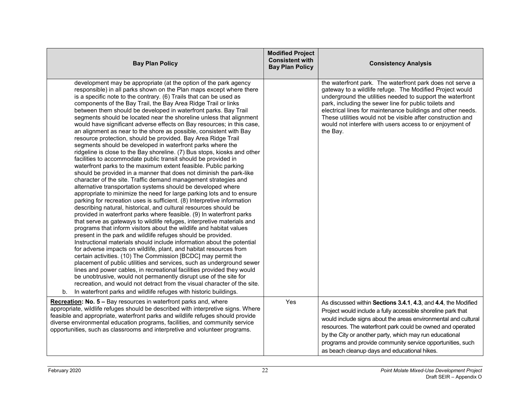| <b>Bay Plan Policy</b>                                                                                                                                                                                                                                                                                                                                                                                                                                                                                                                                                                                                                                                                                                                                                                                                                                                                                                                                                                                                                                                                                                                                                                                                                                                                                                                                                                                                                                                                                                                                                                                                                                                                                                                                                                                                                                                                                                                                                                                                                                                                                                                                                                                                                               | <b>Modified Project</b><br><b>Consistent with</b><br><b>Bay Plan Policy</b> | <b>Consistency Analysis</b>                                                                                                                                                                                                                                                                                                                                                                                                                        |
|------------------------------------------------------------------------------------------------------------------------------------------------------------------------------------------------------------------------------------------------------------------------------------------------------------------------------------------------------------------------------------------------------------------------------------------------------------------------------------------------------------------------------------------------------------------------------------------------------------------------------------------------------------------------------------------------------------------------------------------------------------------------------------------------------------------------------------------------------------------------------------------------------------------------------------------------------------------------------------------------------------------------------------------------------------------------------------------------------------------------------------------------------------------------------------------------------------------------------------------------------------------------------------------------------------------------------------------------------------------------------------------------------------------------------------------------------------------------------------------------------------------------------------------------------------------------------------------------------------------------------------------------------------------------------------------------------------------------------------------------------------------------------------------------------------------------------------------------------------------------------------------------------------------------------------------------------------------------------------------------------------------------------------------------------------------------------------------------------------------------------------------------------------------------------------------------------------------------------------------------------|-----------------------------------------------------------------------------|----------------------------------------------------------------------------------------------------------------------------------------------------------------------------------------------------------------------------------------------------------------------------------------------------------------------------------------------------------------------------------------------------------------------------------------------------|
| development may be appropriate (at the option of the park agency<br>responsible) in all parks shown on the Plan maps except where there<br>is a specific note to the contrary. (6) Trails that can be used as<br>components of the Bay Trail, the Bay Area Ridge Trail or links<br>between them should be developed in waterfront parks. Bay Trail<br>segments should be located near the shoreline unless that alignment<br>would have significant adverse effects on Bay resources; in this case,<br>an alignment as near to the shore as possible, consistent with Bay<br>resource protection, should be provided. Bay Area Ridge Trail<br>segments should be developed in waterfront parks where the<br>ridgeline is close to the Bay shoreline. (7) Bus stops, kiosks and other<br>facilities to accommodate public transit should be provided in<br>waterfront parks to the maximum extent feasible. Public parking<br>should be provided in a manner that does not diminish the park-like<br>character of the site. Traffic demand management strategies and<br>alternative transportation systems should be developed where<br>appropriate to minimize the need for large parking lots and to ensure<br>parking for recreation uses is sufficient. (8) Interpretive information<br>describing natural, historical, and cultural resources should be<br>provided in waterfront parks where feasible. (9) In waterfront parks<br>that serve as gateways to wildlife refuges, interpretive materials and<br>programs that inform visitors about the wildlife and habitat values<br>present in the park and wildlife refuges should be provided.<br>Instructional materials should include information about the potential<br>for adverse impacts on wildlife, plant, and habitat resources from<br>certain activities. (10) The Commission [BCDC] may permit the<br>placement of public utilities and services, such as underground sewer<br>lines and power cables, in recreational facilities provided they would<br>be unobtrusive, would not permanently disrupt use of the site for<br>recreation, and would not detract from the visual character of the site.<br>In waterfront parks and wildlife refuges with historic buildings.<br>b. |                                                                             | the waterfront park. The waterfront park does not serve a<br>gateway to a wildlife refuge. The Modified Project would<br>underground the utilities needed to support the waterfront<br>park, including the sewer line for public toilets and<br>electrical lines for maintenance buildings and other needs.<br>These utilities would not be visible after construction and<br>would not interfere with users access to or enjoyment of<br>the Bay. |
| <b>Recreation: No. 5 – Bay resources in waterfront parks and, where</b><br>appropriate, wildlife refuges should be described with interpretive signs. Where<br>feasible and appropriate, waterfront parks and wildlife refuges should provide<br>diverse environmental education programs, facilities, and community service<br>opportunities, such as classrooms and interpretive and volunteer programs.                                                                                                                                                                                                                                                                                                                                                                                                                                                                                                                                                                                                                                                                                                                                                                                                                                                                                                                                                                                                                                                                                                                                                                                                                                                                                                                                                                                                                                                                                                                                                                                                                                                                                                                                                                                                                                           | Yes                                                                         | As discussed within Sections 3.4.1, 4.3, and 4.4, the Modified<br>Project would include a fully accessible shoreline park that<br>would include signs about the areas environmental and cultural<br>resources. The waterfront park could be owned and operated<br>by the City or another party, which may run educational<br>programs and provide community service opportunities, such<br>as beach cleanup days and educational hikes.            |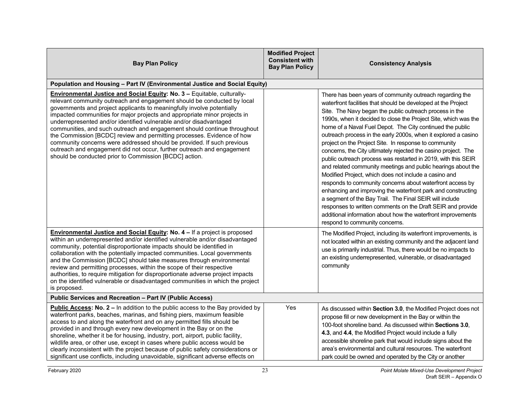| <b>Bay Plan Policy</b>                                                                                                                                                                                                                                                                                                                                                                                                                                                                                                                                                                                                                                                                                                                                     | <b>Modified Project</b><br><b>Consistent with</b><br><b>Bay Plan Policy</b> | <b>Consistency Analysis</b>                                                                                                                                                                                                                                                                                                                                                                                                                                                                                                                                                                                                                                                                                                                                                                                                                                                                                                                                                                                                                                          |  |
|------------------------------------------------------------------------------------------------------------------------------------------------------------------------------------------------------------------------------------------------------------------------------------------------------------------------------------------------------------------------------------------------------------------------------------------------------------------------------------------------------------------------------------------------------------------------------------------------------------------------------------------------------------------------------------------------------------------------------------------------------------|-----------------------------------------------------------------------------|----------------------------------------------------------------------------------------------------------------------------------------------------------------------------------------------------------------------------------------------------------------------------------------------------------------------------------------------------------------------------------------------------------------------------------------------------------------------------------------------------------------------------------------------------------------------------------------------------------------------------------------------------------------------------------------------------------------------------------------------------------------------------------------------------------------------------------------------------------------------------------------------------------------------------------------------------------------------------------------------------------------------------------------------------------------------|--|
| Population and Housing - Part IV (Environmental Justice and Social Equity)                                                                                                                                                                                                                                                                                                                                                                                                                                                                                                                                                                                                                                                                                 |                                                                             |                                                                                                                                                                                                                                                                                                                                                                                                                                                                                                                                                                                                                                                                                                                                                                                                                                                                                                                                                                                                                                                                      |  |
| <b>Environmental Justice and Social Equity: No. 3 - Equitable, culturally-</b><br>relevant community outreach and engagement should be conducted by local<br>governments and project applicants to meaningfully involve potentially<br>impacted communities for major projects and appropriate minor projects in<br>underrepresented and/or identified vulnerable and/or disadvantaged<br>communities, and such outreach and engagement should continue throughout<br>the Commission [BCDC] review and permitting processes. Evidence of how<br>community concerns were addressed should be provided. If such previous<br>outreach and engagement did not occur, further outreach and engagement<br>should be conducted prior to Commission [BCDC] action. |                                                                             | There has been years of community outreach regarding the<br>waterfront facilities that should be developed at the Project<br>Site. The Navy began the public outreach process in the<br>1990s, when it decided to close the Project Site, which was the<br>home of a Naval Fuel Depot. The City continued the public<br>outreach process in the early 2000s, when it explored a casino<br>project on the Project Site. In response to community<br>concerns, the City ultimately rejected the casino project. The<br>public outreach process was restarted in 2019, with this SEIR<br>and related community meetings and public hearings about the<br>Modified Project, which does not include a casino and<br>responds to community concerns about waterfront access by<br>enhancing and improving the waterfront park and constructing<br>a segment of the Bay Trail. The Final SEIR will include<br>responses to written comments on the Draft SEIR and provide<br>additional information about how the waterfront improvements<br>respond to community concerns. |  |
| <b>Environmental Justice and Social Equity: No. 4 - If a project is proposed</b><br>within an underrepresented and/or identified vulnerable and/or disadvantaged<br>community, potential disproportionate impacts should be identified in<br>collaboration with the potentially impacted communities. Local governments<br>and the Commission [BCDC] should take measures through environmental<br>review and permitting processes, within the scope of their respective<br>authorities, to require mitigation for disproportionate adverse project impacts<br>on the identified vulnerable or disadvantaged communities in which the project<br>is proposed.                                                                                              |                                                                             | The Modified Project, including its waterfront improvements, is<br>not located within an existing community and the adjacent land<br>use is primarily industrial. Thus, there would be no impacts to<br>an existing underrepresented, vulnerable, or disadvantaged<br>community                                                                                                                                                                                                                                                                                                                                                                                                                                                                                                                                                                                                                                                                                                                                                                                      |  |
| Public Services and Recreation - Part IV (Public Access)                                                                                                                                                                                                                                                                                                                                                                                                                                                                                                                                                                                                                                                                                                   |                                                                             |                                                                                                                                                                                                                                                                                                                                                                                                                                                                                                                                                                                                                                                                                                                                                                                                                                                                                                                                                                                                                                                                      |  |
| <b>Public Access: No. 2 - In addition to the public access to the Bay provided by</b><br>waterfront parks, beaches, marinas, and fishing piers, maximum feasible<br>access to and along the waterfront and on any permitted fills should be<br>provided in and through every new development in the Bay or on the<br>shoreline, whether it be for housing, industry, port, airport, public facility,<br>wildlife area, or other use, except in cases where public access would be<br>clearly inconsistent with the project because of public safety considerations or<br>significant use conflicts, including unavoidable, significant adverse effects on                                                                                                  | Yes                                                                         | As discussed within Section 3.0, the Modified Project does not<br>propose fill or new development in the Bay or within the<br>100-foot shoreline band. As discussed within Sections 3.0,<br>4.3, and 4.4, the Modified Project would include a fully<br>accessible shoreline park that would include signs about the<br>area's environmental and cultural resources. The waterfront<br>park could be owned and operated by the City or another                                                                                                                                                                                                                                                                                                                                                                                                                                                                                                                                                                                                                       |  |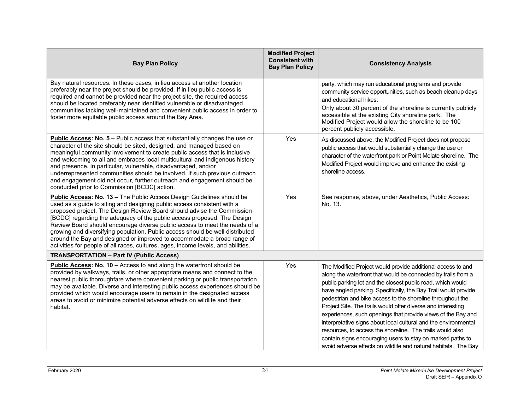| <b>Bay Plan Policy</b>                                                                                                                                                                                                                                                                                                                                                                                                                                                                                                                                                                                                               | <b>Modified Project</b><br><b>Consistent with</b><br><b>Bay Plan Policy</b> | <b>Consistency Analysis</b>                                                                                                                                                                                                                                                                                                                                                                                                                                                                                                                                                                                                                                                                                                  |
|--------------------------------------------------------------------------------------------------------------------------------------------------------------------------------------------------------------------------------------------------------------------------------------------------------------------------------------------------------------------------------------------------------------------------------------------------------------------------------------------------------------------------------------------------------------------------------------------------------------------------------------|-----------------------------------------------------------------------------|------------------------------------------------------------------------------------------------------------------------------------------------------------------------------------------------------------------------------------------------------------------------------------------------------------------------------------------------------------------------------------------------------------------------------------------------------------------------------------------------------------------------------------------------------------------------------------------------------------------------------------------------------------------------------------------------------------------------------|
| Bay natural resources. In these cases, in lieu access at another location<br>preferably near the project should be provided. If in lieu public access is<br>required and cannot be provided near the project site, the required access<br>should be located preferably near identified vulnerable or disadvantaged<br>communities lacking well-maintained and convenient public access in order to<br>foster more equitable public access around the Bay Area.                                                                                                                                                                       |                                                                             | party, which may run educational programs and provide<br>community service opportunities, such as beach cleanup days<br>and educational hikes.<br>Only about 30 percent of the shoreline is currently publicly<br>accessible at the existing City shoreline park. The<br>Modified Project would allow the shoreline to be 100<br>percent publicly accessible.                                                                                                                                                                                                                                                                                                                                                                |
| Public Access: No. 5 - Public access that substantially changes the use or<br>character of the site should be sited, designed, and managed based on<br>meaningful community involvement to create public access that is inclusive<br>and welcoming to all and embraces local multicultural and indigenous history<br>and presence. In particular, vulnerable, disadvantaged, and/or<br>underrepresented communities should be involved. If such previous outreach<br>and engagement did not occur, further outreach and engagement should be<br>conducted prior to Commission [BCDC] action.                                         | Yes                                                                         | As discussed above, the Modified Project does not propose<br>public access that would substantially change the use or<br>character of the waterfront park or Point Molate shoreline. The<br>Modified Project would improve and enhance the existing<br>shoreline access.                                                                                                                                                                                                                                                                                                                                                                                                                                                     |
| Public Access: No. 13 - The Public Access Design Guidelines should be<br>used as a guide to siting and designing public access consistent with a<br>proposed project. The Design Review Board should advise the Commission<br>[BCDC] regarding the adequacy of the public access proposed. The Design<br>Review Board should encourage diverse public access to meet the needs of a<br>growing and diversifying population. Public access should be well distributed<br>around the Bay and designed or improved to accommodate a broad range of<br>activities for people of all races, cultures, ages, income levels, and abilities. | Yes                                                                         | See response, above, under Aesthetics, Public Access:<br>No. 13.                                                                                                                                                                                                                                                                                                                                                                                                                                                                                                                                                                                                                                                             |
| <b>TRANSPORTATION - Part IV (Public Access)</b>                                                                                                                                                                                                                                                                                                                                                                                                                                                                                                                                                                                      |                                                                             |                                                                                                                                                                                                                                                                                                                                                                                                                                                                                                                                                                                                                                                                                                                              |
| Public Access: No. 10 - Access to and along the waterfront should be<br>provided by walkways, trails, or other appropriate means and connect to the<br>nearest public thoroughfare where convenient parking or public transportation<br>may be available. Diverse and interesting public access experiences should be<br>provided which would encourage users to remain in the designated access<br>areas to avoid or minimize potential adverse effects on wildlife and their<br>habitat.                                                                                                                                           | Yes                                                                         | The Modified Project would provide additional access to and<br>along the waterfront that would be connected by trails from a<br>public parking lot and the closest public road, which would<br>have angled parking. Specifically, the Bay Trail would provide<br>pedestrian and bike access to the shoreline throughout the<br>Project Site. The trails would offer diverse and interesting<br>experiences, such openings that provide views of the Bay and<br>interpretative signs about local cultural and the environmental<br>resources, to access the shoreline. The trails would also<br>contain signs encouraging users to stay on marked paths to<br>avoid adverse effects on wildlife and natural habitats. The Bay |